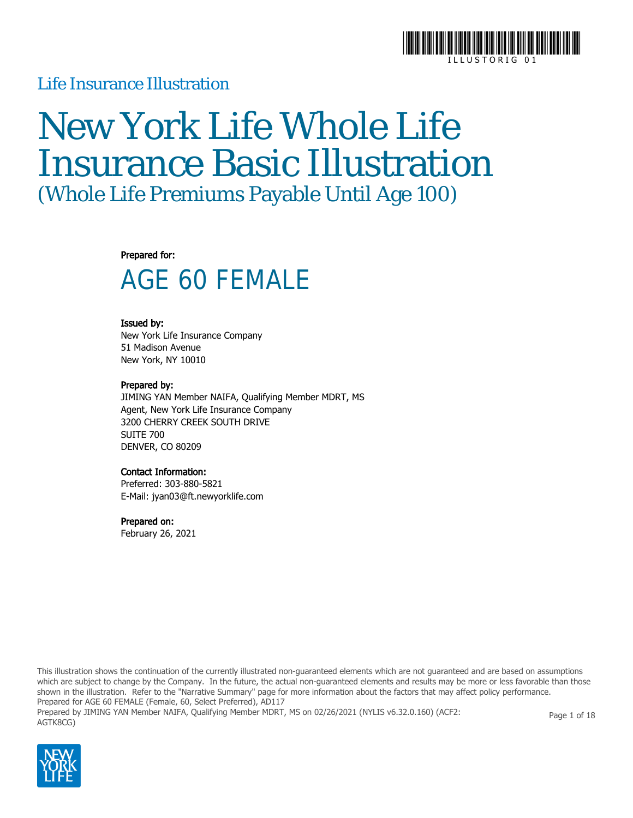

### Life Insurance Illustration

# New York Life Whole Life Insurance Basic Illustration (Whole Life Premiums Payable Until Age 100)

#### Prepared for:

## AGE 60 FEMALE

### Issued by:

New York Life Insurance Company 51 Madison Avenue New York, NY 10010

### Prepared by:

JIMING YAN Member NAIFA, Qualifying Member MDRT, MS Agent, New York Life Insurance Company 3200 CHERRY CREEK SOUTH DRIVE SUITE 700 DENVER, CO 80209

#### Contact Information:

Preferred: 303-880-5821 E-Mail: jyan03@ft.newyorklife.com

#### Prepared on:

February 26, 2021

This illustration shows the continuation of the currently illustrated non-guaranteed elements which are not guaranteed and are based on assumptions which are subject to change by the Company. In the future, the actual non-guaranteed elements and results may be more or less favorable than those shown in the illustration. Refer to the "Narrative Summary" page for more information about the factors that may affect policy performance. Prepared for AGE 60 FEMALE (Female, 60, Select Preferred), AD117 Prepared by JIMING YAN Member NAIFA, Qualifying Member MDRT, MS on 02/26/2021 (NYLIS v6.32.0.160) (ACF2: AGTK8CG) Page 1 of 18

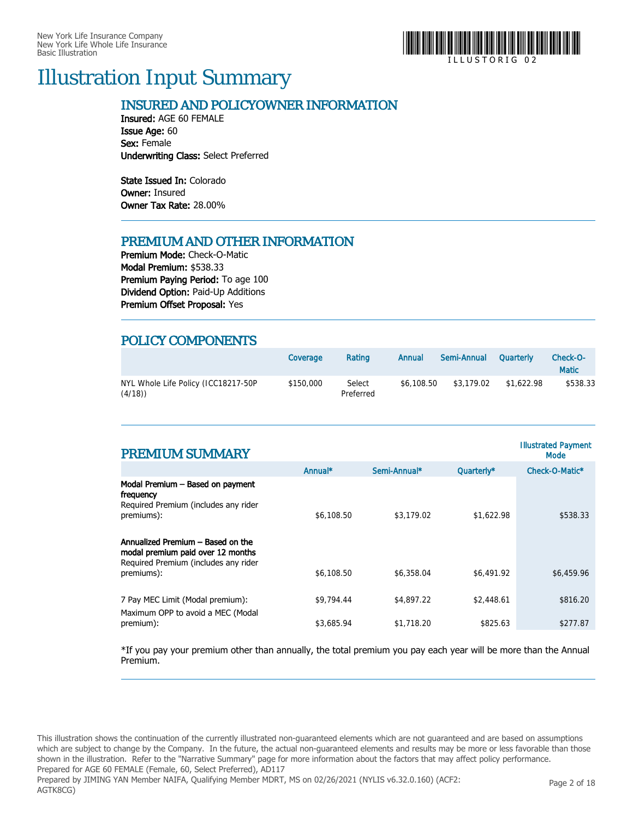

### Illustration Input Summary

### INSURED AND POLICYOWNER INFORMATION

Insured: AGE 60 FEMALE Issue Age: 60 Sex: Female Underwriting Class: Select Preferred

State Issued In: Colorado Owner: Insured Owner Tax Rate: 28.00%

### PREMIUM AND OTHER INFORMATION

Premium Mode: Check-O-Matic Modal Premium: \$538.33 Premium Paying Period: To age 100 Dividend Option: Paid-Up Additions Premium Offset Proposal: Yes

### POLICY COMPONENTS

|                                               | Coverage  | Rating              | Annual     | Semi-Annual | Quarterly  | Check-O-<br><b>Matic</b> |
|-----------------------------------------------|-----------|---------------------|------------|-------------|------------|--------------------------|
| NYL Whole Life Policy (ICC18217-50P<br>(4/18) | \$150,000 | Select<br>Preferred | \$6.108.50 | \$3,179.02  | \$1.622.98 | \$538.33                 |

| <b>PREMIUM SUMMARY</b>                                                                                                                   |            |              |            | <b>Illustrated Payment</b><br>Mode |
|------------------------------------------------------------------------------------------------------------------------------------------|------------|--------------|------------|------------------------------------|
|                                                                                                                                          | Annual*    | Semi-Annual* | Quarterly* | Check-O-Matic*                     |
| Modal Premium - Based on payment<br>frequency<br>Required Premium (includes any rider<br>premiums):<br>Annualized Premium - Based on the | \$6,108.50 | \$3,179.02   | \$1,622.98 | \$538.33                           |
| modal premium paid over 12 months<br>Required Premium (includes any rider<br>premiums):                                                  | \$6,108.50 | \$6,358.04   | \$6,491.92 | \$6,459.96                         |
| 7 Pay MEC Limit (Modal premium):<br>Maximum OPP to avoid a MEC (Modal                                                                    | \$9,794.44 | \$4,897.22   | \$2,448.61 | \$816.20                           |
| premium):                                                                                                                                | \$3,685.94 | \$1,718.20   | \$825.63   | \$277.87                           |

\*If you pay your premium other than annually, the total premium you pay each year will be more than the Annual Premium.

This illustration shows the continuation of the currently illustrated non-guaranteed elements which are not guaranteed and are based on assumptions which are subject to change by the Company. In the future, the actual non-guaranteed elements and results may be more or less favorable than those shown in the illustration. Refer to the "Narrative Summary" page for more information about the factors that may affect policy performance. Prepared for AGE 60 FEMALE (Female, 60, Select Preferred), AD117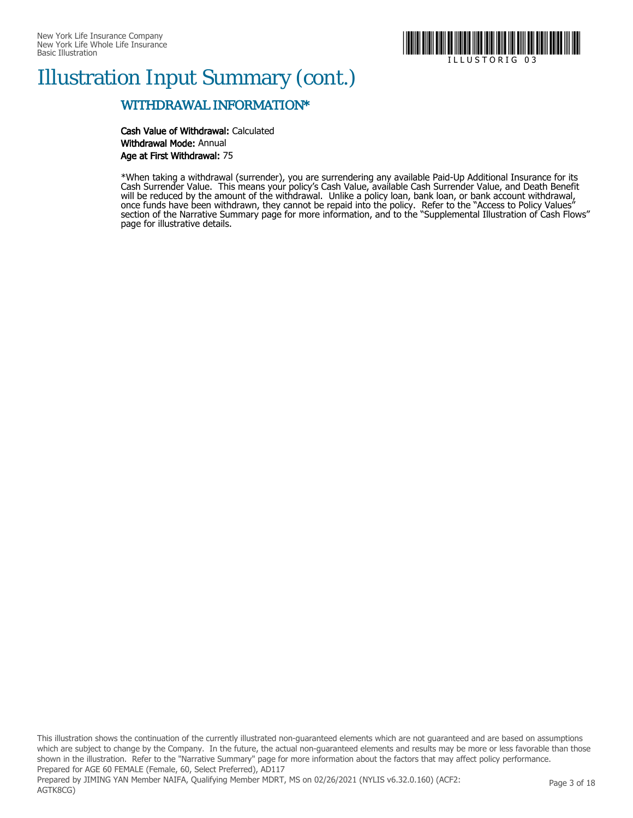

### Illustration Input Summary (cont.)

### WITHDRAWAL INFORMATION\*

Cash Value of Withdrawal: Calculated Withdrawal Mode: Annual Age at First Withdrawal: 75

\*When taking a withdrawal (surrender), you are surrendering any available Paid-Up Additional Insurance for its Cash Surrender Value. This means your policy's Cash Value, available Cash Surrender Value, and Death Benefit will be reduced by the amount of the withdrawal. Unlike a policy loan, bank loan, or bank account withdrawal, once funds have been withdrawn, they cannot be repaid into the policy. Refer to the "Access to Policy Values" section of the Narrative Summary page for more information, and to the "Supplemental Illustration of Cash Flows" page for illustrative details.

This illustration shows the continuation of the currently illustrated non-guaranteed elements which are not guaranteed and are based on assumptions which are subject to change by the Company. In the future, the actual non-guaranteed elements and results may be more or less favorable than those shown in the illustration. Refer to the "Narrative Summary" page for more information about the factors that may affect policy performance. Prepared for AGE 60 FEMALE (Female, 60, Select Preferred), AD117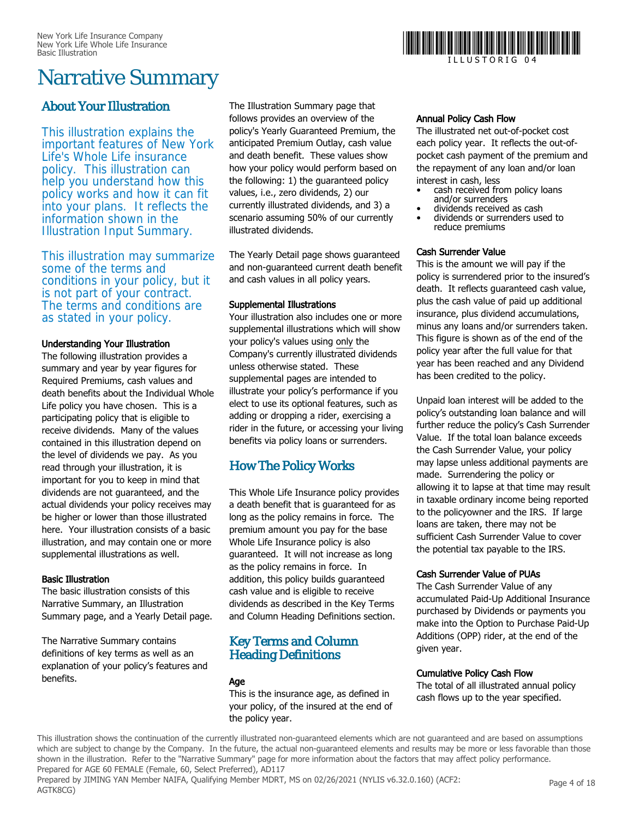

### Narrative Summary

### About Your Illustration

This illustration explains the important features of New York Life's Whole Life insurance policy. This illustration can help you understand how this policy works and how it can fit into your plans. It reflects the information shown in the Illustration Input Summary.

This illustration may summarize some of the terms and conditions in your policy, but it is not part of your contract. The terms and conditions are as stated in your policy.

### Understanding Your Illustration

The following illustration provides a summary and year by year figures for Required Premiums, cash values and death benefits about the Individual Whole Life policy you have chosen. This is a participating policy that is eligible to receive dividends. Many of the values contained in this illustration depend on the level of dividends we pay. As you read through your illustration, it is important for you to keep in mind that dividends are not guaranteed, and the actual dividends your policy receives may be higher or lower than those illustrated here. Your illustration consists of a basic illustration, and may contain one or more supplemental illustrations as well.

### Basic Illustration

The basic illustration consists of this Narrative Summary, an Illustration Summary page, and a Yearly Detail page.

The Narrative Summary contains definitions of key terms as well as an explanation of your policy's features and benefits.

The Illustration Summary page that follows provides an overview of the policy's Yearly Guaranteed Premium, the anticipated Premium Outlay, cash value and death benefit. These values show how your policy would perform based on the following: 1) the guaranteed policy values, i.e., zero dividends, 2) our currently illustrated dividends, and 3) a scenario assuming 50% of our currently illustrated dividends.

The Yearly Detail page shows guaranteed and non-guaranteed current death benefit and cash values in all policy years.

### Supplemental Illustrations

Your illustration also includes one or more supplemental illustrations which will show your policy's values using only the Company's currently illustrated dividends unless otherwise stated. These supplemental pages are intended to illustrate your policy's performance if you elect to use its optional features, such as adding or dropping a rider, exercising a rider in the future, or accessing your living benefits via policy loans or surrenders.

### How The Policy Works

This Whole Life Insurance policy provides a death benefit that is guaranteed for as long as the policy remains in force. The premium amount you pay for the base Whole Life Insurance policy is also guaranteed. It will not increase as long as the policy remains in force. In addition, this policy builds guaranteed cash value and is eligible to receive dividends as described in the Key Terms and Column Heading Definitions section.

### Key Terms and Column Heading Definitions

### Age

This is the insurance age, as defined in your policy, of the insured at the end of the policy year.

### Annual Policy Cash Flow

The illustrated net out-of-pocket cost each policy year. It reflects the out-ofpocket cash payment of the premium and the repayment of any loan and/or loan interest in cash, less

- cash received from policy loans and/or surrenders
- dividends received as cash
- dividends or surrenders used to reduce premiums

### Cash Surrender Value

This is the amount we will pay if the policy is surrendered prior to the insured's death. It reflects guaranteed cash value, plus the cash value of paid up additional insurance, plus dividend accumulations, minus any loans and/or surrenders taken. This figure is shown as of the end of the policy year after the full value for that year has been reached and any Dividend has been credited to the policy.

Unpaid loan interest will be added to the policy's outstanding loan balance and will further reduce the policy's Cash Surrender Value. If the total loan balance exceeds the Cash Surrender Value, your policy may lapse unless additional payments are made. Surrendering the policy or allowing it to lapse at that time may result in taxable ordinary income being reported to the policyowner and the IRS. If large loans are taken, there may not be sufficient Cash Surrender Value to cover the potential tax payable to the IRS.

### Cash Surrender Value of PUAs

The Cash Surrender Value of any accumulated Paid-Up Additional Insurance purchased by Dividends or payments you make into the Option to Purchase Paid-Up Additions (OPP) rider, at the end of the given year.

### Cumulative Policy Cash Flow

The total of all illustrated annual policy cash flows up to the year specified.

This illustration shows the continuation of the currently illustrated non-guaranteed elements which are not guaranteed and are based on assumptions which are subject to change by the Company. In the future, the actual non-guaranteed elements and results may be more or less favorable than those shown in the illustration. Refer to the "Narrative Summary" page for more information about the factors that may affect policy performance. Prepared for AGE 60 FEMALE (Female, 60, Select Preferred), AD117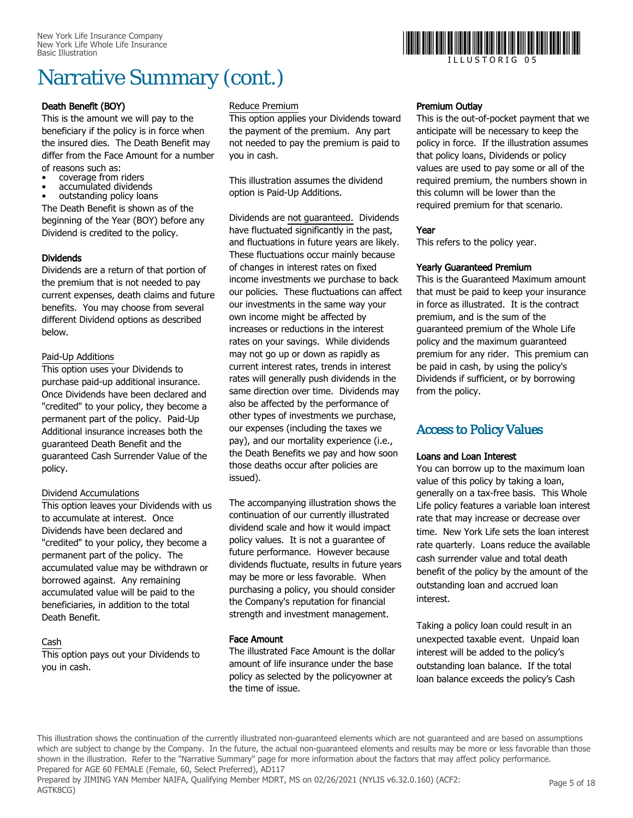## Narrative Summary (cont.)

### Death Benefit (BOY)

This is the amount we will pay to the beneficiary if the policy is in force when the insured dies. The Death Benefit may differ from the Face Amount for a number of reasons such as:

- coverage from riders
- accumulated dividends
- outstanding policy loans

The Death Benefit is shown as of the beginning of the Year (BOY) before any Dividend is credited to the policy.

### Dividends

Dividends are a return of that portion of the premium that is not needed to pay current expenses, death claims and future benefits. You may choose from several different Dividend options as described below.

### Paid-Up Additions

This option uses your Dividends to purchase paid-up additional insurance. Once Dividends have been declared and "credited" to your policy, they become a permanent part of the policy. Paid-Up Additional insurance increases both the guaranteed Death Benefit and the guaranteed Cash Surrender Value of the policy.

### Dividend Accumulations

This option leaves your Dividends with us to accumulate at interest. Once Dividends have been declared and "credited" to your policy, they become a permanent part of the policy. The accumulated value may be withdrawn or borrowed against. Any remaining accumulated value will be paid to the beneficiaries, in addition to the total Death Benefit.

### Cash

This option pays out your Dividends to you in cash.

### Reduce Premium

This option applies your Dividends toward the payment of the premium. Any part not needed to pay the premium is paid to you in cash.

This illustration assumes the dividend option is Paid-Up Additions.

Dividends are not guaranteed. Dividends have fluctuated significantly in the past, and fluctuations in future years are likely. These fluctuations occur mainly because of changes in interest rates on fixed income investments we purchase to back our policies. These fluctuations can affect our investments in the same way your own income might be affected by increases or reductions in the interest rates on your savings. While dividends may not go up or down as rapidly as current interest rates, trends in interest rates will generally push dividends in the same direction over time. Dividends may also be affected by the performance of other types of investments we purchase, our expenses (including the taxes we pay), and our mortality experience (i.e., the Death Benefits we pay and how soon those deaths occur after policies are issued).

The accompanying illustration shows the continuation of our currently illustrated dividend scale and how it would impact policy values. It is not a guarantee of future performance. However because dividends fluctuate, results in future years may be more or less favorable. When purchasing a policy, you should consider the Company's reputation for financial strength and investment management.

### Face Amount

The illustrated Face Amount is the dollar amount of life insurance under the base policy as selected by the policyowner at the time of issue.



I L L U S T O R I G 0 5

### Premium Outlay

This is the out-of-pocket payment that we anticipate will be necessary to keep the policy in force. If the illustration assumes that policy loans, Dividends or policy values are used to pay some or all of the required premium, the numbers shown in this column will be lower than the required premium for that scenario.

### Year

This refers to the policy year.

### Yearly Guaranteed Premium

This is the Guaranteed Maximum amount that must be paid to keep your insurance in force as illustrated. It is the contract premium, and is the sum of the guaranteed premium of the Whole Life policy and the maximum guaranteed premium for any rider. This premium can be paid in cash, by using the policy's Dividends if sufficient, or by borrowing from the policy.

### Access to Policy Values

### Loans and Loan Interest

You can borrow up to the maximum loan value of this policy by taking a loan, generally on a tax-free basis. This Whole Life policy features a variable loan interest rate that may increase or decrease over time. New York Life sets the loan interest rate quarterly. Loans reduce the available cash surrender value and total death benefit of the policy by the amount of the outstanding loan and accrued loan interest.

Taking a policy loan could result in an unexpected taxable event. Unpaid loan interest will be added to the policy's outstanding loan balance. If the total loan balance exceeds the policy's Cash

This illustration shows the continuation of the currently illustrated non-guaranteed elements which are not guaranteed and are based on assumptions which are subject to change by the Company. In the future, the actual non-guaranteed elements and results may be more or less favorable than those shown in the illustration. Refer to the "Narrative Summary" page for more information about the factors that may affect policy performance. Prepared for AGE 60 FEMALE (Female, 60, Select Preferred), AD117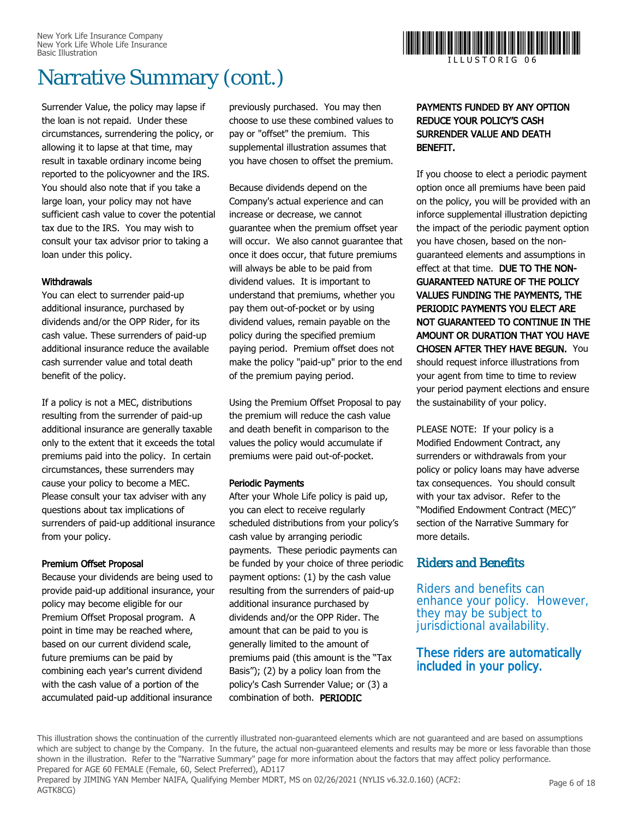## Narrative Summary (cont.)

Surrender Value, the policy may lapse if the loan is not repaid. Under these circumstances, surrendering the policy, or allowing it to lapse at that time, may result in taxable ordinary income being reported to the policyowner and the IRS. You should also note that if you take a large loan, your policy may not have sufficient cash value to cover the potential tax due to the IRS. You may wish to consult your tax advisor prior to taking a loan under this policy.

### **Withdrawals**

You can elect to surrender paid-up additional insurance, purchased by dividends and/or the OPP Rider, for its cash value. These surrenders of paid-up additional insurance reduce the available cash surrender value and total death benefit of the policy.

If a policy is not a MEC, distributions resulting from the surrender of paid-up additional insurance are generally taxable only to the extent that it exceeds the total premiums paid into the policy. In certain circumstances, these surrenders may cause your policy to become a MEC. Please consult your tax adviser with any questions about tax implications of surrenders of paid-up additional insurance from your policy.

### Premium Offset Proposal

Because your dividends are being used to provide paid-up additional insurance, your policy may become eligible for our Premium Offset Proposal program. A point in time may be reached where, based on our current dividend scale, future premiums can be paid by combining each year's current dividend with the cash value of a portion of the accumulated paid-up additional insurance

previously purchased. You may then choose to use these combined values to pay or "offset" the premium. This supplemental illustration assumes that you have chosen to offset the premium.

Because dividends depend on the Company's actual experience and can increase or decrease, we cannot guarantee when the premium offset year will occur. We also cannot guarantee that once it does occur, that future premiums will always be able to be paid from dividend values. It is important to understand that premiums, whether you pay them out-of-pocket or by using dividend values, remain payable on the policy during the specified premium paying period. Premium offset does not make the policy "paid-up" prior to the end of the premium paying period.

Using the Premium Offset Proposal to pay the premium will reduce the cash value and death benefit in comparison to the values the policy would accumulate if premiums were paid out-of-pocket.

### Periodic Payments

After your Whole Life policy is paid up, you can elect to receive regularly scheduled distributions from your policy's cash value by arranging periodic payments. These periodic payments can be funded by your choice of three periodic payment options: (1) by the cash value resulting from the surrenders of paid-up additional insurance purchased by dividends and/or the OPP Rider. The amount that can be paid to you is generally limited to the amount of premiums paid (this amount is the "Tax Basis"); (2) by a policy loan from the policy's Cash Surrender Value; or (3) a combination of both. PERIODIC



### PAYMENTS FUNDED BY ANY OPTION REDUCE YOUR POLICY'S CASH SURRENDER VALUE AND DEATH BENEFIT.

If you choose to elect a periodic payment option once all premiums have been paid on the policy, you will be provided with an inforce supplemental illustration depicting the impact of the periodic payment option you have chosen, based on the nonguaranteed elements and assumptions in effect at that time. DUE TO THE NON-GUARANTEED NATURE OF THE POLICY VALUES FUNDING THE PAYMENTS, THE PERIODIC PAYMENTS YOU ELECT ARE NOT GUARANTEED TO CONTINUE IN THE AMOUNT OR DURATION THAT YOU HAVE CHOSEN AFTER THEY HAVE BEGUN. You should request inforce illustrations from your agent from time to time to review your period payment elections and ensure the sustainability of your policy.

PLEASE NOTE: If your policy is a Modified Endowment Contract, any surrenders or withdrawals from your policy or policy loans may have adverse tax consequences. You should consult with your tax advisor. Refer to the "Modified Endowment Contract (MEC)" section of the Narrative Summary for more details.

### Riders and Benefits

Riders and benefits can enhance your policy. However, they may be subject to jurisdictional availability.

### These riders are automatically included in your policy.

This illustration shows the continuation of the currently illustrated non-guaranteed elements which are not guaranteed and are based on assumptions which are subject to change by the Company. In the future, the actual non-guaranteed elements and results may be more or less favorable than those shown in the illustration. Refer to the "Narrative Summary" page for more information about the factors that may affect policy performance. Prepared for AGE 60 FEMALE (Female, 60, Select Preferred), AD117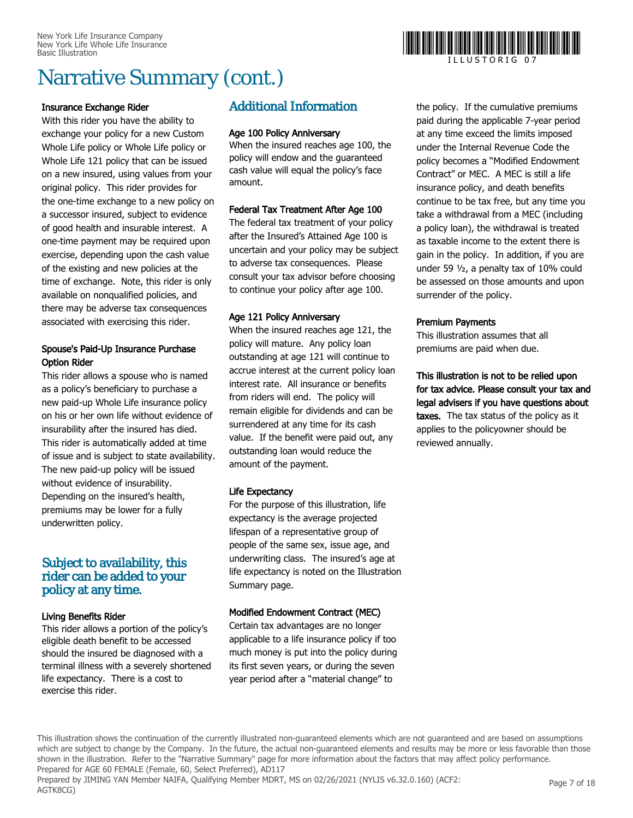## Narrative Summary (cont.)

### Insurance Exchange Rider

With this rider you have the ability to exchange your policy for a new Custom Whole Life policy or Whole Life policy or Whole Life 121 policy that can be issued on a new insured, using values from your original policy. This rider provides for the one-time exchange to a new policy on a successor insured, subject to evidence of good health and insurable interest. A one-time payment may be required upon exercise, depending upon the cash value of the existing and new policies at the time of exchange. Note, this rider is only available on nonqualified policies, and there may be adverse tax consequences associated with exercising this rider.

### Spouse's Paid-Up Insurance Purchase Option Rider

This rider allows a spouse who is named as a policy's beneficiary to purchase a new paid-up Whole Life insurance policy on his or her own life without evidence of insurability after the insured has died. This rider is automatically added at time of issue and is subject to state availability. The new paid-up policy will be issued without evidence of insurability. Depending on the insured's health, premiums may be lower for a fully underwritten policy.

### Subject to availability, this rider can be added to your policy at any time.

### Living Benefits Rider

This rider allows a portion of the policy's eligible death benefit to be accessed should the insured be diagnosed with a terminal illness with a severely shortened life expectancy. There is a cost to exercise this rider.

### Additional Information

### Age 100 Policy Anniversary

When the insured reaches age 100, the policy will endow and the guaranteed cash value will equal the policy's face amount.

### Federal Tax Treatment After Age 100

The federal tax treatment of your policy after the Insured's Attained Age 100 is uncertain and your policy may be subject to adverse tax consequences. Please consult your tax advisor before choosing to continue your policy after age 100.

### Age 121 Policy Anniversary

When the insured reaches age 121, the policy will mature. Any policy loan outstanding at age 121 will continue to accrue interest at the current policy loan interest rate. All insurance or benefits from riders will end. The policy will remain eligible for dividends and can be surrendered at any time for its cash value. If the benefit were paid out, any outstanding loan would reduce the amount of the payment.

### Life Expectancy

For the purpose of this illustration, life expectancy is the average projected lifespan of a representative group of people of the same sex, issue age, and underwriting class. The insured's age at life expectancy is noted on the Illustration Summary page.

### Modified Endowment Contract (MEC)

Certain tax advantages are no longer applicable to a life insurance policy if too much money is put into the policy during its first seven years, or during the seven year period after a "material change" to

### the policy. If the cumulative premiums paid during the applicable 7-year period at any time exceed the limits imposed under the Internal Revenue Code the policy becomes a "Modified Endowment Contract" or MEC. A MEC is still a life insurance policy, and death benefits continue to be tax free, but any time you take a withdrawal from a MEC (including a policy loan), the withdrawal is treated as taxable income to the extent there is gain in the policy. In addition, if you are under 59 ½, a penalty tax of 10% could be assessed on those amounts and upon surrender of the policy.

### Premium Payments

This illustration assumes that all premiums are paid when due.

This illustration is not to be relied upon for tax advice. Please consult your tax and legal advisers if you have questions about taxes. The tax status of the policy as it applies to the policyowner should be reviewed annually.

This illustration shows the continuation of the currently illustrated non-guaranteed elements which are not guaranteed and are based on assumptions which are subject to change by the Company. In the future, the actual non-guaranteed elements and results may be more or less favorable than those shown in the illustration. Refer to the "Narrative Summary" page for more information about the factors that may affect policy performance. Prepared for AGE 60 FEMALE (Female, 60, Select Preferred), AD117

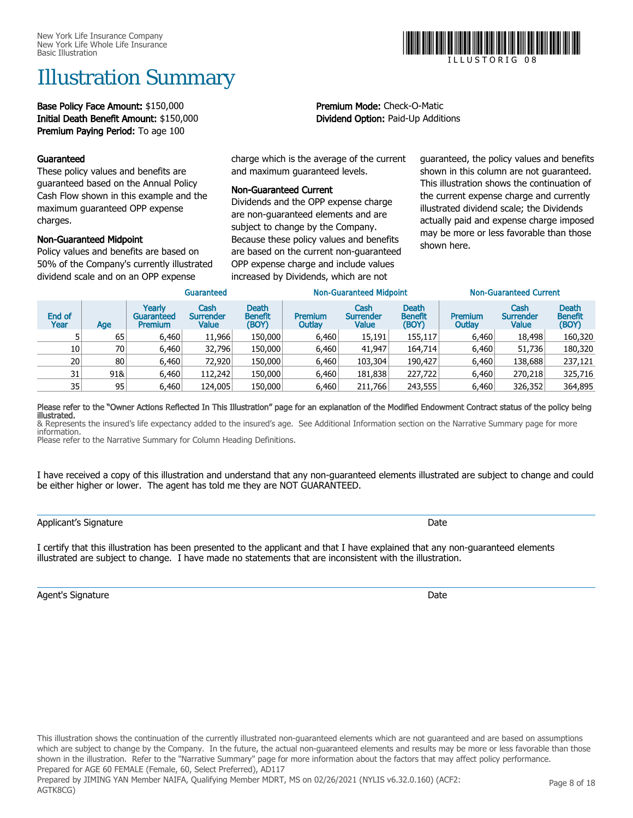## Illustration Summary

Base Policy Face Amount: \$150,000 entitled and the Premium Mode: Check-O-Matic Initial Death Benefit Amount: \$150,000 Dividend Option: Paid-Up Additions Premium Paying Period: To age 100

### Guaranteed

These policy values and benefits are guaranteed based on the Annual Policy Cash Flow shown in this example and the maximum guaranteed OPP expense charges.

### Non-Guaranteed Midpoint

Policy values and benefits are based on 50% of the Company's currently illustrated dividend scale and on an OPP expense

charge which is the average of the current and maximum guaranteed levels.

### Non-Guaranteed Current

Dividends and the OPP expense charge are non-guaranteed elements and are subject to change by the Company. Because these policy values and benefits are based on the current non-guaranteed OPP expense charge and include values increased by Dividends, which are not

guaranteed, the policy values and benefits shown in this column are not guaranteed. This illustration shows the continuation of the current expense charge and currently illustrated dividend scale; the Dividends actually paid and expense charge imposed may be more or less favorable than those shown here.

|                 |                 |                                        | Guaranteed                        |                                         | <b>Non-Guaranteed Midpoint</b> |                                   |                                         | <b>Non-Guaranteed Current</b> |                                          |                                         |
|-----------------|-----------------|----------------------------------------|-----------------------------------|-----------------------------------------|--------------------------------|-----------------------------------|-----------------------------------------|-------------------------------|------------------------------------------|-----------------------------------------|
| End of<br>Year  | Age             | Yearlv<br>Guaranteed<br><b>Premium</b> | Cash<br><b>Surrender</b><br>Value | <b>Death</b><br><b>Benefit</b><br>(BOY) | <b>Premium</b><br>Outlay       | Cash<br><b>Surrender</b><br>Value | <b>Death</b><br><b>Benefit</b><br>(BOY) | Premium<br>Outlay             | Cash<br><b>Surrender</b><br><b>Value</b> | <b>Death</b><br><b>Benefit</b><br>(BOY) |
|                 | 65              | 6,460                                  | 11,966                            | 150,000                                 | 6,460                          | 15,191                            | 155,117                                 | 6,460                         | 18,498                                   | 160,320                                 |
| 10              | 70 <sub>1</sub> | 6.460                                  | 32,796                            | 150,000                                 | 6,460                          | 41,947                            | 164,714                                 | 6.460                         | 51,736                                   | 180,320                                 |
| 20 <sup>1</sup> | 80              | 6.460                                  | 72,920                            | 150,000                                 | 6,460                          | 103,304                           | 190,427                                 | 6.460                         | 138,688                                  | 237,121                                 |
| 31              | 91&             | 6,460                                  | 112,242                           | 150,000                                 | 6,460                          | 181,838                           | 227,722                                 | 6,460                         | 270,218                                  | 325,716                                 |
| 35              | 95              | 6,460                                  | 124,005                           | 150,000                                 | 6,460                          | 211,766                           | 243,555                                 | 6,460                         | 326,352                                  | 364,895                                 |

#### Please refer to the "Owner Actions Reflected In This Illustration" page for an explanation of the Modified Endowment Contract status of the policy being illustrated.

& Represents the insured's life expectancy added to the insured's age. See Additional Information section on the Narrative Summary page for more information. Please refer to the Narrative Summary for Column Heading Definitions.

I have received a copy of this illustration and understand that any non-guaranteed elements illustrated are subject to change and could be either higher or lower. The agent has told me they are NOT GUARANTEED.

I certify that this illustration has been presented to the applicant and that I have explained that any non-guaranteed elements illustrated are subject to change. I have made no statements that are inconsistent with the illustration.

Agent's Signature **Date** 



I L L U S T O R I G 0 8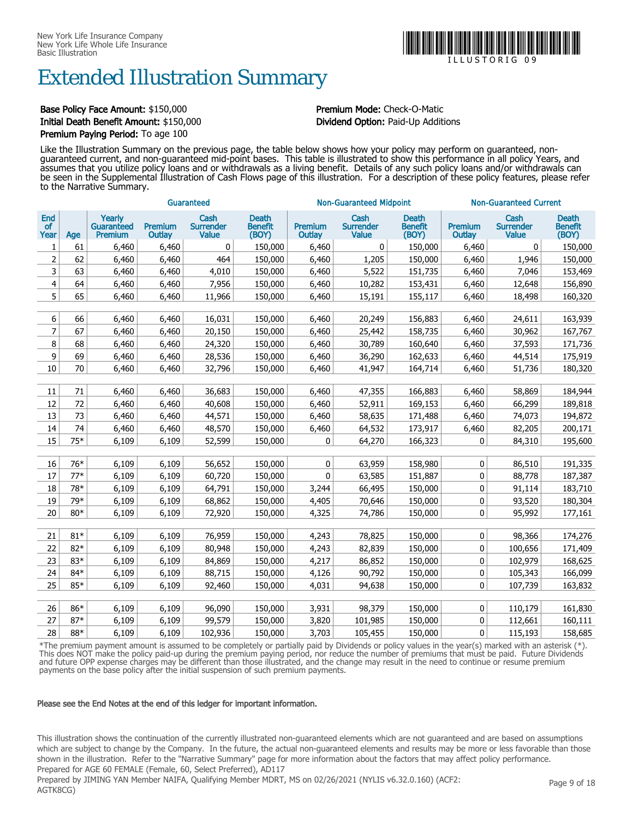## Extended Illustration Summary

### Base Policy Face Amount: \$150,000 **Premium Mode:** Check-O-Matic Initial Death Benefit Amount: \$150,000 Dividend Option: Paid-Up Additions Premium Paying Period: To age 100

Like the Illustration Summary on the previous page, the table below shows how your policy may perform on guaranteed, nonguaranteed current, and non-guaranteed mid-point bases. This table is illustrated to show this performance in all policy Years, and assumes that you utilize policy loans and or withdrawals as a living benefit. Details of any such policy loans and/or withdrawals can be seen in the Supplemental Illustration of Cash Flows page of this illustration. For a description of these policy features, please refer to the Narrative Summary.

|                          |            | Guaranteed                                    |                   |                                          |                                         |                          | <b>Non-Guaranteed Midpoint</b>           |                                         | <b>Non-Guaranteed Current</b> |                                          |                                         |
|--------------------------|------------|-----------------------------------------------|-------------------|------------------------------------------|-----------------------------------------|--------------------------|------------------------------------------|-----------------------------------------|-------------------------------|------------------------------------------|-----------------------------------------|
| End<br><b>of</b><br>Year | Age        | Yearly<br><b>Guaranteed</b><br><b>Premium</b> | Premium<br>Outlay | Cash<br><b>Surrender</b><br><b>Value</b> | <b>Death</b><br><b>Benefit</b><br>(BOY) | <b>Premium</b><br>Outlay | Cash<br><b>Surrender</b><br><b>Value</b> | <b>Death</b><br><b>Benefit</b><br>(BOY) | Premium<br>Outlay             | Cash<br><b>Surrender</b><br><b>Value</b> | <b>Death</b><br><b>Benefit</b><br>(BOY) |
| 1                        | 61         | 6,460                                         | 6,460             | 0                                        | 150,000                                 | 6,460                    | 0                                        | 150,000                                 | 6,460                         | 0                                        | 150,000                                 |
| $\overline{2}$           | 62         | 6,460                                         | 6,460             | 464                                      | 150,000                                 | 6,460                    | 1,205                                    | 150,000                                 | 6,460                         | 1,946                                    | 150,000                                 |
| 3                        | 63         | 6,460                                         | 6,460             | 4,010                                    | 150,000                                 | 6,460                    | 5,522                                    | 151,735                                 | 6,460                         | 7,046                                    | 153,469                                 |
| $\overline{\mathbf{4}}$  | 64         | 6,460                                         | 6,460             | 7,956                                    | 150,000                                 | 6,460                    | 10,282                                   | 153,431                                 | 6,460                         | 12,648                                   | 156,890                                 |
| 5                        | 65         | 6,460                                         | 6,460             | 11,966                                   | 150,000                                 | 6,460                    | 15,191                                   | 155,117                                 | 6,460                         | 18,498                                   | 160,320                                 |
|                          |            |                                               |                   |                                          |                                         |                          |                                          |                                         |                               |                                          |                                         |
| 6                        | 66         | 6,460                                         | 6,460             | 16,031                                   | 150,000                                 | 6,460                    | 20,249                                   | 156,883                                 | 6,460                         | 24,611                                   | 163,939                                 |
| $\overline{7}$           | 67         | 6,460                                         | 6,460             | 20,150                                   | 150,000                                 | 6,460                    | 25,442                                   | 158,735                                 | 6,460                         | 30,962                                   | 167,767                                 |
| 8                        | 68         | 6,460                                         | 6,460             | 24,320                                   | 150,000                                 | 6,460                    | 30,789                                   | 160,640                                 | 6,460                         | 37,593                                   | 171,736                                 |
| 9                        | 69         | 6,460                                         | 6,460             | 28,536                                   | 150,000                                 | 6,460                    | 36,290                                   | 162,633                                 | 6,460                         | 44,514                                   | 175,919                                 |
| 10                       | 70         | 6,460                                         | 6,460             | 32,796                                   | 150,000                                 | 6,460                    | 41,947                                   | 164,714                                 | 6,460                         | 51,736                                   | 180,320                                 |
|                          |            |                                               |                   |                                          |                                         |                          |                                          |                                         |                               |                                          |                                         |
| 11                       | 71         | 6,460                                         | 6,460             | 36,683                                   | 150,000                                 | 6,460                    | 47,355                                   | 166,883                                 | 6,460                         | 58,869                                   | 184,944                                 |
| 12                       | 72         | 6,460                                         | 6,460             | 40,608                                   | 150,000                                 | 6,460                    | 52,911                                   | 169,153                                 | 6,460                         | 66,299                                   | 189,818                                 |
| 13                       | 73         | 6,460                                         | 6,460             | 44,571                                   | 150,000                                 | 6,460                    | 58,635                                   | 171,488                                 | 6,460                         | 74,073                                   | 194,872                                 |
| 14                       | 74         | 6,460                                         | 6,460             | 48,570                                   | 150,000                                 | 6,460                    | 64,532                                   | 173,917                                 | 6,460                         | 82,205                                   | 200,171                                 |
| 15                       | 75*        | 6,109                                         | 6,109             | 52,599                                   | 150,000                                 | 0                        | 64,270                                   | 166,323                                 | 0                             | 84,310                                   | 195,600                                 |
|                          |            |                                               |                   |                                          |                                         |                          |                                          |                                         |                               |                                          |                                         |
| 16                       | 76*        | 6,109                                         | 6,109             | 56,652                                   | 150,000                                 | 0                        | 63,959                                   | 158,980                                 | 0                             | 86,510                                   | 191,335                                 |
| 17                       | $77*$      | 6,109                                         | 6,109             | 60,720                                   | 150,000                                 | 0                        | 63,585                                   | 151,887                                 | 0                             | 88,778                                   | 187,387                                 |
| 18                       | 78*<br>79* | 6,109                                         | 6,109             | 64,791                                   | 150,000                                 | 3,244                    | 66,495                                   | 150,000                                 | $\pmb{0}$                     | 91,114                                   | 183,710                                 |
| 19                       | $80*$      | 6,109                                         | 6,109             | 68,862                                   | 150,000                                 | 4,405                    | 70,646                                   | 150,000                                 | 0                             | 93,520                                   | 180,304                                 |
| 20                       |            | 6,109                                         | 6,109             | 72,920                                   | 150,000                                 | 4,325                    | 74,786                                   | 150,000                                 | 0                             | 95,992                                   | 177,161                                 |
| 21                       | $81*$      | 6,109                                         | 6,109             | 76,959                                   | 150,000                                 | 4,243                    | 78,825                                   | 150,000                                 | 0                             | 98,366                                   | 174,276                                 |
| 22                       | $82*$      | 6,109                                         | 6,109             | 80,948                                   | 150,000                                 | 4,243                    | 82,839                                   | 150,000                                 | 0                             | 100,656                                  | 171,409                                 |
| 23                       | 83*        | 6,109                                         | 6,109             | 84,869                                   | 150,000                                 | 4,217                    | 86,852                                   | 150,000                                 | 0                             | 102,979                                  | 168,625                                 |
| 24                       | 84*        | 6,109                                         | 6,109             | 88,715                                   | 150,000                                 | 4,126                    | 90,792                                   | 150,000                                 | 0                             | 105,343                                  | 166,099                                 |
| 25                       | 85*        | 6,109                                         | 6,109             | 92,460                                   | 150,000                                 | 4,031                    | 94,638                                   | 150,000                                 | 0                             | 107,739                                  | 163,832                                 |
|                          |            |                                               |                   |                                          |                                         |                          |                                          |                                         |                               |                                          |                                         |
| 26                       | 86*        | 6,109                                         | 6,109             | 96,090                                   | 150,000                                 | 3,931                    | 98,379                                   | 150,000                                 | 0                             | 110,179                                  | 161,830                                 |
| 27                       | $87*$      | 6,109                                         | 6,109             | 99,579                                   | 150,000                                 | 3,820                    | 101,985                                  | 150,000                                 | 0                             | 112,661                                  | 160,111                                 |
| 28                       | 88*        | 6,109                                         | 6,109             | 102,936                                  | 150,000                                 | 3,703                    | 105,455                                  | 150,000                                 | 0                             | 115,193                                  | 158,685                                 |
|                          |            |                                               |                   |                                          |                                         |                          |                                          |                                         |                               |                                          |                                         |

\*The premium payment amount is assumed to be completely or partially paid by Dividends or policy values in the year(s) marked with an asterisk (\*). This does NOT make the policy paid-up during the premium paying period, nor reduce the number of premiums that must be paid. Future Dividends and future OPP expense charges may be different than those illustrated, and the change may result in the need to continue or resume premium payments on the base policy after the initial suspension of such premium payments.

#### Please see the End Notes at the end of this ledger for important information.

This illustration shows the continuation of the currently illustrated non-guaranteed elements which are not guaranteed and are based on assumptions which are subject to change by the Company. In the future, the actual non-guaranteed elements and results may be more or less favorable than those shown in the illustration. Refer to the "Narrative Summary" page for more information about the factors that may affect policy performance. Prepared for AGE 60 FEMALE (Female, 60, Select Preferred), AD117

Prepared by JIMING YAN Member NAIFA, Qualifying Member MDRT, MS on 02/26/2021 (NYLIS v6.32.0.160) (ACF2: AGTK8CG)



I L L U S T O R I G 0 9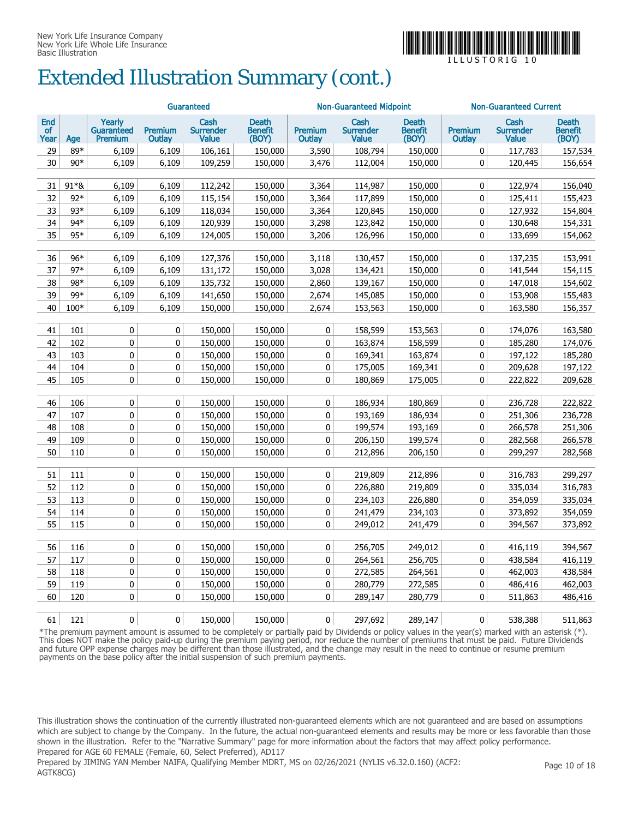

## Extended Illustration Summary (cont.)

|                          |        | Guaranteed                      |                   |                                          |                                         |                   | <b>Non-Guaranteed Midpoint</b>           |                                  | <b>Non-Guaranteed Current</b> |                                   |                                         |
|--------------------------|--------|---------------------------------|-------------------|------------------------------------------|-----------------------------------------|-------------------|------------------------------------------|----------------------------------|-------------------------------|-----------------------------------|-----------------------------------------|
| End<br><b>of</b><br>Year | Age    | Yearly<br>Guaranteed<br>Premium | Premium<br>Outlay | Cash<br><b>Surrender</b><br><b>Value</b> | <b>Death</b><br><b>Benefit</b><br>(BOY) | Premium<br>Outlay | Cash<br><b>Surrender</b><br><b>Value</b> | <b>Death</b><br>Benefit<br>(BOY) | Premium<br>Outlay             | Cash<br><b>Surrender</b><br>Value | <b>Death</b><br><b>Benefit</b><br>(BOY) |
| 29                       | 89*    | 6,109                           | 6,109             | 106,161                                  | 150,000                                 | 3,590             | 108,794                                  | 150,000                          | $\mathbf 0$                   | 117,783                           | 157,534                                 |
| 30                       | $90*$  | 6,109                           | 6,109             | 109,259                                  | 150,000                                 | 3,476             | 112,004                                  | 150,000                          | $\mathbf 0$                   | 120,445                           | 156,654                                 |
|                          |        |                                 |                   |                                          |                                         |                   |                                          |                                  |                               |                                   |                                         |
| 31                       | 91*&   | 6,109                           | 6,109             | 112,242                                  | 150,000                                 | 3,364             | 114,987                                  | 150,000                          | 0                             | 122,974                           | 156,040                                 |
| 32                       | $92*$  | 6,109                           | 6,109             | 115,154                                  | 150,000                                 | 3,364             | 117,899                                  | 150,000                          | $\mathbf 0$                   | 125,411                           | 155,423                                 |
| 33                       | 93*    | 6,109                           | 6,109             | 118,034                                  | 150,000                                 | 3,364             | 120,845                                  | 150,000                          | 0                             | 127,932                           | 154,804                                 |
| 34                       | 94*    | 6,109                           | 6,109             | 120,939                                  | 150,000                                 | 3,298             | 123,842                                  | 150,000                          | $\mathbf 0$                   | 130,648                           | 154,331                                 |
| 35                       | 95*    | 6,109                           | 6,109             | 124,005                                  | 150,000                                 | 3,206             | 126,996                                  | 150,000                          | 0                             | 133,699                           | 154,062                                 |
|                          |        |                                 |                   |                                          |                                         |                   |                                          |                                  |                               |                                   |                                         |
| 36                       | $96*$  | 6,109                           | 6,109             | 127,376                                  | 150,000                                 | 3,118             | 130,457                                  | 150,000                          | 0                             | 137,235                           | 153,991                                 |
| 37                       | $97*$  | 6,109                           | 6,109             | 131,172                                  | 150,000                                 | 3,028             | 134,421                                  | 150,000                          | $\mathbf 0$                   | 141,544                           | 154,115                                 |
| 38                       | 98*    | 6,109                           | 6,109             | 135,732                                  | 150,000                                 | 2,860             | 139,167                                  | 150,000                          | $\mathbf 0$                   | 147,018                           | 154,602                                 |
| 39                       | 99*    | 6,109                           | 6,109             | 141,650                                  | 150,000                                 | 2,674             | 145,085                                  | 150,000                          | 0                             | 153,908                           | 155,483                                 |
| 40                       | $100*$ | 6,109                           | 6,109             | 150,000                                  | 150,000                                 | 2,674             | 153,563                                  | 150,000                          | $\mathbf 0$                   | 163,580                           | 156,357                                 |
|                          |        |                                 |                   |                                          |                                         |                   |                                          |                                  |                               |                                   |                                         |
| 41                       | 101    | 0                               | 0                 | 150,000                                  | 150,000                                 | 0                 | 158,599                                  | 153,563                          | 0                             | 174,076                           | 163,580                                 |
| 42                       | 102    | 0                               | 0                 | 150,000                                  | 150,000                                 | $\mathbf 0$       | 163,874                                  | 158,599                          | $\mathbf 0$                   | 185,280                           | 174,076                                 |
| 43                       | 103    | 0                               | 0                 | 150,000                                  | 150,000                                 | 0                 | 169,341                                  | 163,874                          | $\mathbf 0$                   | 197,122                           | 185,280                                 |
| 44                       | 104    | 0                               | 0                 | 150,000                                  | 150,000                                 | 0                 | 175,005                                  | 169,341                          | $\mathbf 0$                   | 209,628                           | 197,122                                 |
| 45                       | 105    | 0                               | 0                 | 150,000                                  | 150,000                                 | 0                 | 180,869                                  | 175,005                          | $\mathbf 0$                   | 222,822                           | 209,628                                 |
|                          |        |                                 |                   |                                          |                                         |                   |                                          |                                  |                               |                                   |                                         |
| 46                       | 106    | 0                               | 0                 | 150,000                                  | 150,000                                 | 0                 | 186,934                                  | 180,869                          | $\mathbf 0$                   | 236,728                           | 222,822                                 |
| 47                       | 107    | 0                               | 0                 | 150,000                                  | 150,000                                 | $\pmb{0}$         | 193,169                                  | 186,934                          | 0                             | 251,306                           | 236,728                                 |
| 48                       | 108    | 0                               | 0                 | 150,000                                  | 150,000                                 | $\mathbf 0$       | 199,574                                  | 193,169                          | $\mathbf 0$                   | 266,578                           | 251,306                                 |
| 49                       | 109    | 0                               | 0                 | 150,000                                  | 150,000                                 | 0                 | 206,150                                  | 199,574                          | $\mathbf 0$                   | 282,568                           | 266,578                                 |
| 50                       | 110    | 0                               | 0                 | 150,000                                  | 150,000                                 | 0                 | 212,896                                  | 206,150                          | $\mathbf 0$                   | 299,297                           | 282,568                                 |
|                          |        |                                 |                   |                                          |                                         |                   |                                          |                                  |                               |                                   |                                         |
| 51                       | 111    | 0                               | 0                 | 150,000                                  | 150,000                                 | 0                 | 219,809                                  | 212,896                          | $\mathbf 0$                   | 316,783                           | 299,297                                 |
| 52                       | 112    | 0                               | 0                 | 150,000                                  | 150,000                                 | 0                 | 226,880                                  | 219,809                          | $\mathbf 0$                   | 335,034                           | 316,783                                 |
| 53                       | 113    | 0                               | $\pmb{0}$         | 150,000                                  | 150,000                                 | $\pmb{0}$         | 234,103                                  | 226,880                          | $\mathbf 0$                   | 354,059                           | 335,034                                 |
| 54                       | 114    | 0                               | 0                 | 150,000                                  | 150,000                                 | 0                 | 241,479                                  | 234,103                          | $\mathbf 0$                   | 373,892                           | 354,059                                 |
| 55                       | 115    | 0                               | 0                 | 150,000                                  | 150,000                                 | 0                 | 249,012                                  | 241,479                          | $\mathbf 0$                   | 394,567                           | 373,892                                 |
|                          |        |                                 |                   |                                          |                                         |                   |                                          |                                  |                               |                                   |                                         |
| 56                       | 116    | 0                               | 0                 | 150,000                                  | 150,000                                 | $\pmb{0}$         | 256,705                                  | 249,012                          | $\mathbf 0$                   | 416,119                           | 394,567                                 |
| 57                       | 117    | 0                               | 0                 | 150,000                                  | 150,000                                 | $\pmb{0}$         | 264,561                                  | 256,705                          | $\pmb{0}$                     | 438,584                           | 416,119                                 |
| 58                       | 118    | 0                               | 0                 | 150,000                                  | 150,000                                 | 0                 | 272,585                                  | 264,561                          | $\mathbf 0$                   | 462,003                           | 438,584                                 |
| 59                       | 119    | 0                               | 0                 | 150,000                                  | 150,000                                 | 0                 | 280,779                                  | 272,585                          | $\mathbf 0$                   | 486,416                           | 462,003                                 |
| 60                       | 120    | 0                               | 0                 | 150,000                                  | 150,000                                 | 0                 | 289,147                                  | 280,779                          | 0                             | 511,863                           | 486,416                                 |
|                          |        |                                 |                   |                                          |                                         |                   |                                          |                                  |                               |                                   |                                         |
| 61                       | 121    | 0                               | $\mathbf{0}$      | 150,000                                  | 150,000                                 | $\mathbf{0}$      | 297,692                                  | 289,147                          | $\mathbf{0}$                  | 538,388                           | 511,863                                 |

\*The premium payment amount is assumed to be completely or partially paid by Dividends or policy values in the year(s) marked with an asterisk (\*). This does NOT make the policy paid-up during the premium paying period, nor reduce the number of premiums that must be paid. Future Dividends and future OPP expense charges may be different than those illustrated, and the change may result in the need to continue or resume premium payments on the base policy after the initial suspension of such premium payments.

This illustration shows the continuation of the currently illustrated non-guaranteed elements which are not guaranteed and are based on assumptions which are subject to change by the Company. In the future, the actual non-guaranteed elements and results may be more or less favorable than those shown in the illustration. Refer to the "Narrative Summary" page for more information about the factors that may affect policy performance. Prepared for AGE 60 FEMALE (Female, 60, Select Preferred), AD117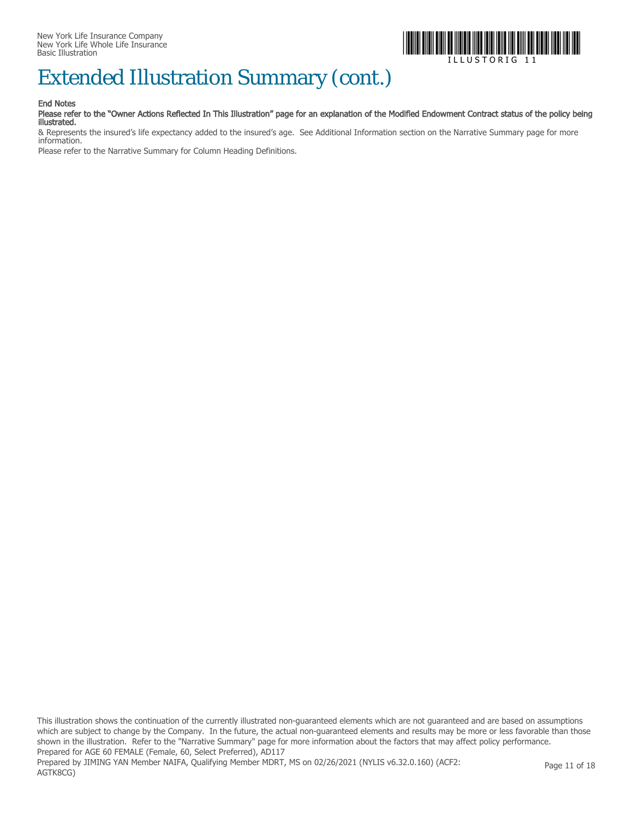

## Extended Illustration Summary (cont.)

#### End Notes

AGTK8CG)

#### Please refer to the "Owner Actions Reflected In This Illustration" page for an explanation of the Modified Endowment Contract status of the policy being illustrated.

& Represents the insured's life expectancy added to the insured's age. See Additional Information section on the Narrative Summary page for more information.

Please refer to the Narrative Summary for Column Heading Definitions.

This illustration shows the continuation of the currently illustrated non-guaranteed elements which are not guaranteed and are based on assumptions which are subject to change by the Company. In the future, the actual non-guaranteed elements and results may be more or less favorable than those shown in the illustration. Refer to the "Narrative Summary" page for more information about the factors that may affect policy performance. Prepared for AGE 60 FEMALE (Female, 60, Select Preferred), AD117 Prepared by JIMING YAN Member NAIFA, Qualifying Member MDRT, MS on 02/26/2021 (NYLIS v6.32.0.160) (ACF2: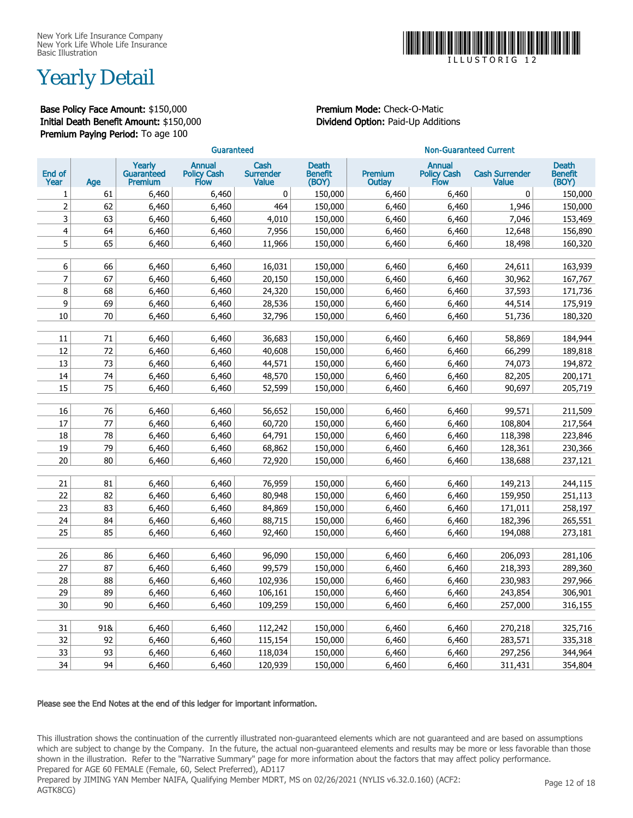

## Yearly Detail

Base Policy Face Amount: \$150,000 Premium Mode: Check-O-Matic Initial Death Benefit Amount: \$150,000 Dividend Option: Paid-Up Additions Premium Paying Period: To age 100

|                         | Guaranteed |                                        |                                      |                                          |                                         | <b>Non-Guaranteed Current</b> |                                      |                                       |                                         |
|-------------------------|------------|----------------------------------------|--------------------------------------|------------------------------------------|-----------------------------------------|-------------------------------|--------------------------------------|---------------------------------------|-----------------------------------------|
| End of<br>Year          | Age        | Yearly<br>Guaranteed<br><b>Premium</b> | <b>Annual</b><br>Policy Cash<br>Flow | Cash<br><b>Surrender</b><br><b>Value</b> | <b>Death</b><br><b>Benefit</b><br>(BOY) | Premium<br><b>Outlay</b>      | <b>Annual</b><br>Policy Cash<br>Flow | <b>Cash Surrender</b><br><b>Value</b> | <b>Death</b><br><b>Benefit</b><br>(BOY) |
| 1                       | 61         | 6,460                                  | 6,460                                | 0                                        | 150,000                                 | 6,460                         | 6,460                                | $\bf{0}$                              | 150,000                                 |
| $\overline{2}$          | 62         | 6,460                                  | 6,460                                | 464                                      | 150,000                                 | 6,460                         | 6,460                                | 1,946                                 | 150,000                                 |
| 3                       | 63         | 6,460                                  | 6,460                                | 4,010                                    | 150,000                                 | 6,460                         | 6,460                                | 7,046                                 | 153,469                                 |
| $\overline{\mathbf{4}}$ | 64         | 6,460                                  | 6,460                                | 7,956                                    | 150,000                                 | 6,460                         | 6,460                                | 12,648                                | 156,890                                 |
| 5                       | 65         | 6,460                                  | 6,460                                | 11,966                                   | 150,000                                 | 6,460                         | 6,460                                | 18,498                                | 160,320                                 |
|                         |            |                                        |                                      |                                          |                                         |                               |                                      |                                       |                                         |
| 6                       | 66         | 6,460                                  | 6,460                                | 16,031                                   | 150,000                                 | 6,460                         | 6,460                                | 24,611                                | 163,939                                 |
| $\overline{7}$          | 67         | 6,460                                  | 6,460                                | 20,150                                   | 150,000                                 | 6,460                         | 6,460                                | 30,962                                | 167,767                                 |
| 8                       | 68         | 6,460                                  | 6,460                                | 24,320                                   | 150,000                                 | 6,460                         | 6,460                                | 37,593                                | 171,736                                 |
| 9                       | 69         | 6,460                                  | 6,460                                | 28,536                                   | 150,000                                 | 6,460                         | 6,460                                | 44,514                                | 175,919                                 |
| 10                      | 70         | 6,460                                  | 6,460                                | 32,796                                   | 150,000                                 | 6,460                         | 6,460                                | 51,736                                | 180,320                                 |
|                         |            |                                        |                                      |                                          |                                         |                               |                                      |                                       |                                         |
| 11                      | 71         | 6,460                                  | 6,460                                | 36,683                                   | 150,000                                 | 6,460                         | 6,460                                | 58,869                                | 184,944                                 |
| 12                      | 72         | 6,460                                  | 6,460                                | 40,608                                   | 150,000                                 | 6,460                         | 6,460                                | 66,299                                | 189,818                                 |
| 13                      | 73         | 6,460                                  | 6,460                                | 44,571                                   | 150,000                                 | 6,460                         | 6,460                                | 74,073                                | 194,872                                 |
| 14                      | 74         | 6,460                                  | 6,460                                | 48,570                                   | 150,000                                 | 6,460                         | 6,460                                | 82,205                                | 200,171                                 |
| 15                      | 75         | 6,460                                  | 6,460                                | 52,599                                   | 150,000                                 | 6,460                         | 6,460                                | 90,697                                | 205,719                                 |
| 16                      | 76         |                                        |                                      |                                          |                                         |                               |                                      |                                       |                                         |
| 17                      | 77         | 6,460                                  | 6,460                                | 56,652                                   | 150,000                                 | 6,460                         | 6,460                                | 99,571                                | 211,509                                 |
| 18                      | 78         | 6,460<br>6,460                         | 6,460<br>6,460                       | 60,720<br>64,791                         | 150,000<br>150,000                      | 6,460<br>6,460                | 6,460                                | 108,804<br>118,398                    | 217,564<br>223,846                      |
| 19                      | 79         | 6,460                                  |                                      |                                          | 150,000                                 |                               | 6,460                                |                                       |                                         |
| 20                      | 80         | 6,460                                  | 6,460<br>6,460                       | 68,862<br>72,920                         | 150,000                                 | 6,460<br>6,460                | 6,460<br>6,460                       | 128,361<br>138,688                    | 230,366<br>237,121                      |
|                         |            |                                        |                                      |                                          |                                         |                               |                                      |                                       |                                         |
| 21                      | 81         | 6,460                                  | 6,460                                | 76,959                                   | 150,000                                 | 6,460                         | 6,460                                | 149,213                               | 244,115                                 |
| 22                      | 82         | 6,460                                  | 6,460                                | 80,948                                   | 150,000                                 | 6,460                         | 6,460                                | 159,950                               | 251,113                                 |
| 23                      | 83         | 6,460                                  | 6,460                                | 84,869                                   | 150,000                                 | 6,460                         | 6,460                                | 171,011                               | 258,197                                 |
| 24                      | 84         | 6,460                                  | 6,460                                | 88,715                                   | 150,000                                 | 6,460                         | 6,460                                | 182,396                               | 265,551                                 |
| 25                      | 85         | 6,460                                  | 6,460                                | 92,460                                   | 150,000                                 | 6,460                         | 6,460                                | 194,088                               | 273,181                                 |
|                         |            |                                        |                                      |                                          |                                         |                               |                                      |                                       |                                         |
| 26                      | 86         | 6,460                                  | 6,460                                | 96,090                                   | 150,000                                 | 6,460                         | 6,460                                | 206,093                               | 281,106                                 |
| 27                      | 87         | 6,460                                  | 6,460                                | 99,579                                   | 150,000                                 | 6,460                         | 6,460                                | 218,393                               | 289,360                                 |
| 28                      | 88         | 6,460                                  | 6,460                                | 102,936                                  | 150,000                                 | 6,460                         | 6,460                                | 230,983                               | 297,966                                 |
| 29                      | 89         | 6,460                                  | 6,460                                | 106,161                                  | 150,000                                 | 6,460                         | 6,460                                | 243,854                               | 306,901                                 |
| 30                      | 90         | 6,460                                  | 6,460                                | 109,259                                  | 150,000                                 | 6,460                         | 6,460                                | 257,000                               | 316,155                                 |
|                         |            |                                        |                                      |                                          |                                         |                               |                                      |                                       |                                         |
| 31                      | 91&        | 6,460                                  | 6,460                                | 112,242                                  | 150,000                                 | 6,460                         | 6,460                                | 270,218                               | 325,716                                 |
| 32                      | 92         | 6,460                                  | 6,460                                | 115,154                                  | 150,000                                 | 6,460                         | 6,460                                | 283,571                               | 335,318                                 |
| 33                      | 93         | 6,460                                  | 6,460                                | 118,034                                  | 150,000                                 | 6,460                         | 6,460                                | 297,256                               | 344,964                                 |
| 34                      | 94         | 6,460                                  | 6,460                                | 120,939                                  | 150,000                                 | 6,460                         | 6,460                                | 311,431                               | 354,804                                 |

#### Please see the End Notes at the end of this ledger for important information.

This illustration shows the continuation of the currently illustrated non-guaranteed elements which are not guaranteed and are based on assumptions which are subject to change by the Company. In the future, the actual non-guaranteed elements and results may be more or less favorable than those shown in the illustration. Refer to the "Narrative Summary" page for more information about the factors that may affect policy performance. Prepared for AGE 60 FEMALE (Female, 60, Select Preferred), AD117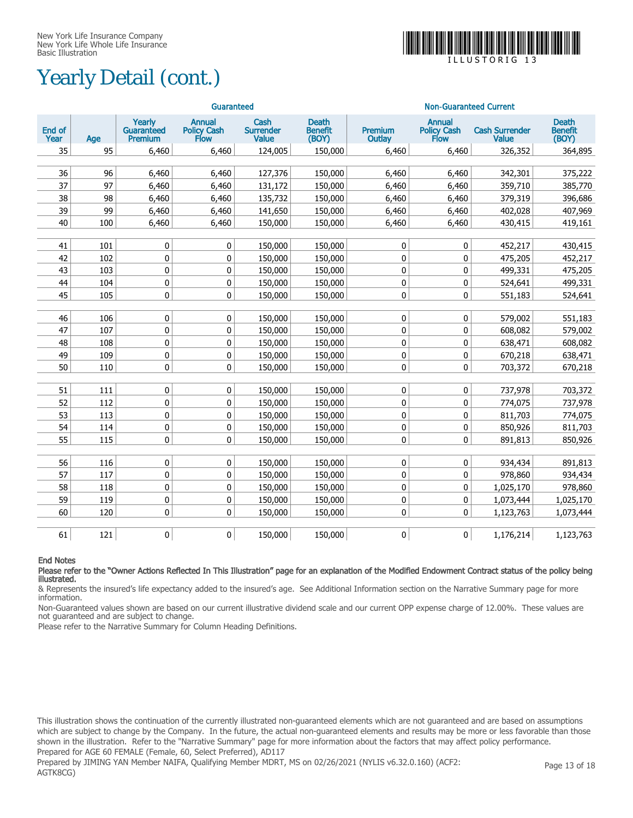## Yearly Detail (cont.)



I L L U S T O R I G 1 3

|                |     |                                        | Guaranteed                           |                                          |                                         |                                 | <b>Non-Guaranteed Current</b>        |                                       |                                         |
|----------------|-----|----------------------------------------|--------------------------------------|------------------------------------------|-----------------------------------------|---------------------------------|--------------------------------------|---------------------------------------|-----------------------------------------|
| End of<br>Year | Age | Yearly<br><b>Guaranteed</b><br>Premium | <b>Annual</b><br>Policy Cash<br>Flow | Cash<br><b>Surrender</b><br><b>Value</b> | <b>Death</b><br><b>Benefit</b><br>(BOY) | <b>Premium</b><br><b>Outlay</b> | <b>Annual</b><br>Policy Cash<br>Flow | <b>Cash Surrender</b><br><b>Value</b> | <b>Death</b><br><b>Benefit</b><br>(BOY) |
| 35             | 95  | 6,460                                  | 6,460                                | 124,005                                  | 150,000                                 | 6,460                           | 6,460                                | 326,352                               | 364,895                                 |
|                |     |                                        |                                      |                                          |                                         |                                 |                                      |                                       |                                         |
| 36             | 96  | 6,460                                  | 6,460                                | 127,376                                  | 150,000                                 | 6,460                           | 6,460                                | 342,301                               | 375,222                                 |
| 37             | 97  | 6,460                                  | 6,460                                | 131,172                                  | 150,000                                 | 6,460                           | 6,460                                | 359,710                               | 385,770                                 |
| 38             | 98  | 6,460                                  | 6,460                                | 135,732                                  | 150,000                                 | 6,460                           | 6,460                                | 379,319                               | 396,686                                 |
| 39             | 99  | 6,460                                  | 6,460                                | 141,650                                  | 150,000                                 | 6,460                           | 6,460                                | 402,028                               | 407,969                                 |
| 40             | 100 | 6,460                                  | 6,460                                | 150,000                                  | 150,000                                 | 6,460                           | 6,460                                | 430,415                               | 419,161                                 |
|                |     |                                        |                                      |                                          |                                         |                                 |                                      |                                       |                                         |
| 41             | 101 | $\pmb{0}$                              | 0                                    | 150,000                                  | 150,000                                 | 0                               | 0                                    | 452,217                               | 430,415                                 |
| 42             | 102 | 0                                      | 0                                    | 150,000                                  | 150,000                                 | $\mathbf 0$                     | 0                                    | 475,205                               | 452,217                                 |
| 43             | 103 | $\mathbf 0$                            | $\pmb{0}$                            | 150,000                                  | 150,000                                 | 0                               | 0                                    | 499,331                               | 475,205                                 |
| 44             | 104 | $\mathbf 0$                            | $\pmb{0}$                            | 150,000                                  | 150,000                                 | 0                               | 0                                    | 524,641                               | 499,331                                 |
| 45             | 105 | 0                                      | 0                                    | 150,000                                  | 150,000                                 | 0                               | 0                                    | 551,183                               | 524,641                                 |
|                |     |                                        |                                      |                                          |                                         |                                 |                                      |                                       |                                         |
| 46             | 106 | $\mathbf 0$                            | 0                                    | 150,000                                  | 150,000                                 | 0                               | 0                                    | 579,002                               | 551,183                                 |
| 47             | 107 | 0                                      | $\mathbf 0$                          | 150,000                                  | 150,000                                 | 0                               | 0                                    | 608,082                               | 579,002                                 |
| 48             | 108 | 0                                      | 0                                    | 150,000                                  | 150,000                                 | 0                               | 0                                    | 638,471                               | 608,082                                 |
| 49             | 109 | 0                                      | 0                                    | 150,000                                  | 150,000                                 | 0                               | 0                                    | 670,218                               | 638,471                                 |
| 50             | 110 | $\mathbf 0$                            | 0                                    | 150,000                                  | 150,000                                 | 0                               | 0                                    | 703,372                               | 670,218                                 |
|                |     |                                        |                                      |                                          |                                         |                                 |                                      |                                       |                                         |
| 51             | 111 | 0                                      | 0                                    | 150,000                                  | 150,000                                 | 0                               | 0                                    | 737,978                               | 703,372                                 |
| 52             | 112 | $\mathbf 0$                            | 0                                    | 150,000                                  | 150,000                                 | 0                               | 0                                    | 774,075                               | 737,978                                 |
| 53             | 113 | 0                                      | 0                                    | 150,000                                  | 150,000                                 | 0                               | 0                                    | 811,703                               | 774,075                                 |
| 54             | 114 | $\pmb{0}$                              | $\pmb{0}$                            | 150,000                                  | 150,000                                 | $\pmb{0}$                       | 0                                    | 850,926                               | 811,703                                 |
| 55             | 115 | $\mathbf 0$                            | 0                                    | 150,000                                  | 150,000                                 | 0                               | 0                                    | 891,813                               | 850,926                                 |
|                |     |                                        |                                      |                                          |                                         |                                 |                                      |                                       |                                         |
| 56             | 116 | $\pmb{0}$                              | 0                                    | 150,000                                  | 150,000                                 | 0                               | 0                                    | 934,434                               | 891,813                                 |
| 57             | 117 | 0                                      | 0                                    | 150,000                                  | 150,000                                 | $\mathbf 0$                     | 0                                    | 978,860                               | 934,434                                 |
| 58             | 118 | $\mathbf 0$                            | $\pmb{0}$                            | 150,000                                  | 150,000                                 | 0                               | 0                                    | 1,025,170                             | 978,860                                 |
| 59             | 119 | 0                                      | 0                                    | 150,000                                  | 150,000                                 | 0                               | 0                                    | 1,073,444                             | 1,025,170                               |
| 60             | 120 | 0                                      | 0                                    | 150,000                                  | 150,000                                 | 0                               | 0                                    | 1,123,763                             | 1,073,444                               |
|                |     |                                        |                                      |                                          |                                         |                                 |                                      |                                       |                                         |
| 61             | 121 | 0                                      | 0                                    | 150,000                                  | 150,000                                 | 0                               | 0                                    | 1,176,214                             | 1,123,763                               |

#### End Notes

Please refer to the "Owner Actions Reflected In This Illustration" page for an explanation of the Modified Endowment Contract status of the policy being illustrated.

& Represents the insured's life expectancy added to the insured's age. See Additional Information section on the Narrative Summary page for more information.

Non-Guaranteed values shown are based on our current illustrative dividend scale and our current OPP expense charge of 12.00%. These values are not guaranteed and are subject to change.

Please refer to the Narrative Summary for Column Heading Definitions.

This illustration shows the continuation of the currently illustrated non-guaranteed elements which are not guaranteed and are based on assumptions which are subject to change by the Company. In the future, the actual non-guaranteed elements and results may be more or less favorable than those shown in the illustration. Refer to the "Narrative Summary" page for more information about the factors that may affect policy performance. Prepared for AGE 60 FEMALE (Female, 60, Select Preferred), AD117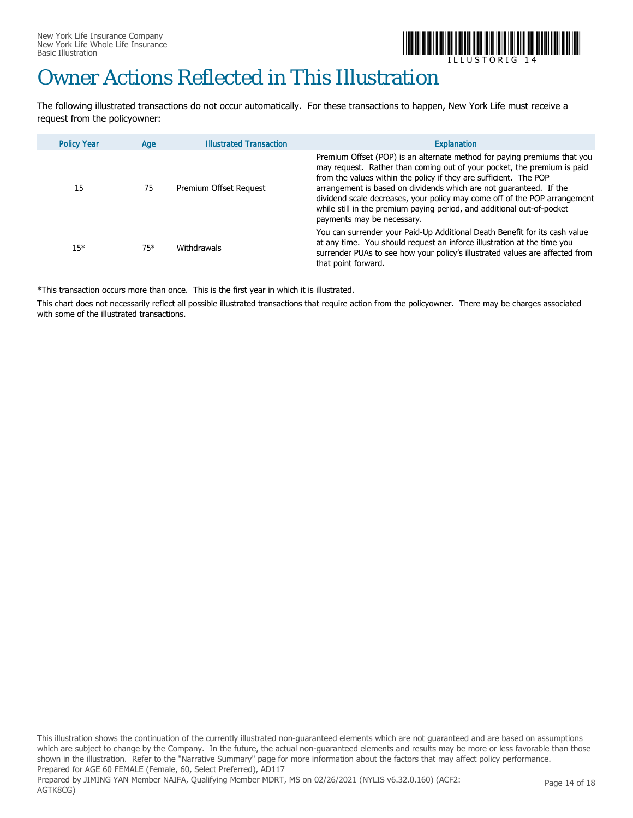

## Owner Actions Reflected in This Illustration

The following illustrated transactions do not occur automatically. For these transactions to happen, New York Life must receive a request from the policyowner:

| <b>Policy Year</b> | Age   | <b>Illustrated Transaction</b> | <b>Explanation</b>                                                                                                                                                                                                                                                                                                                                                                                                                                                                  |
|--------------------|-------|--------------------------------|-------------------------------------------------------------------------------------------------------------------------------------------------------------------------------------------------------------------------------------------------------------------------------------------------------------------------------------------------------------------------------------------------------------------------------------------------------------------------------------|
| 15                 | 75    | Premium Offset Request         | Premium Offset (POP) is an alternate method for paying premiums that you<br>may request. Rather than coming out of your pocket, the premium is paid<br>from the values within the policy if they are sufficient. The POP<br>arrangement is based on dividends which are not quaranteed. If the<br>dividend scale decreases, your policy may come off of the POP arrangement<br>while still in the premium paying period, and additional out-of-pocket<br>payments may be necessary. |
| $15*$              | $75*$ | Withdrawals                    | You can surrender your Paid-Up Additional Death Benefit for its cash value<br>at any time. You should request an inforce illustration at the time you<br>surrender PUAs to see how your policy's illustrated values are affected from<br>that point forward.                                                                                                                                                                                                                        |

\*This transaction occurs more than once. This is the first year in which it is illustrated.

This chart does not necessarily reflect all possible illustrated transactions that require action from the policyowner. There may be charges associated with some of the illustrated transactions.

This illustration shows the continuation of the currently illustrated non-guaranteed elements which are not guaranteed and are based on assumptions which are subject to change by the Company. In the future, the actual non-guaranteed elements and results may be more or less favorable than those shown in the illustration. Refer to the "Narrative Summary" page for more information about the factors that may affect policy performance. Prepared for AGE 60 FEMALE (Female, 60, Select Preferred), AD117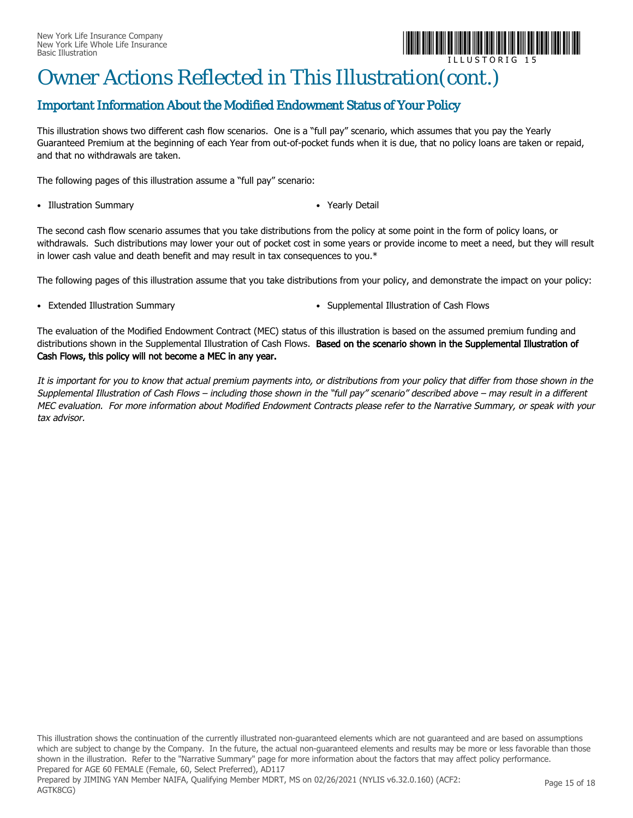

## Owner Actions Reflected in This Illustration(cont.)

### Important Information About the Modified Endowment Status of Your Policy

This illustration shows two different cash flow scenarios. One is a "full pay" scenario, which assumes that you pay the Yearly Guaranteed Premium at the beginning of each Year from out-of-pocket funds when it is due, that no policy loans are taken or repaid, and that no withdrawals are taken.

The following pages of this illustration assume a "full pay" scenario:

- Illustration Summary *Yearly Detail*
- 

The second cash flow scenario assumes that you take distributions from the policy at some point in the form of policy loans, or withdrawals. Such distributions may lower your out of pocket cost in some years or provide income to meet a need, but they will result in lower cash value and death benefit and may result in tax consequences to you.\*

The following pages of this illustration assume that you take distributions from your policy, and demonstrate the impact on your policy:

- 
- Extended Illustration Summary  **Supplemental Illustration of Cash Flows**

The evaluation of the Modified Endowment Contract (MEC) status of this illustration is based on the assumed premium funding and distributions shown in the Supplemental Illustration of Cash Flows. Based on the scenario shown in the Supplemental Illustration of Cash Flows, this policy will not become a MEC in any year.

It is important for you to know that actual premium payments into, or distributions from your policy that differ from those shown in the Supplemental Illustration of Cash Flows – including those shown in the "full pay" scenario" described above – may result in a different MEC evaluation. For more information about Modified Endowment Contracts please refer to the Narrative Summary, or speak with your tax advisor.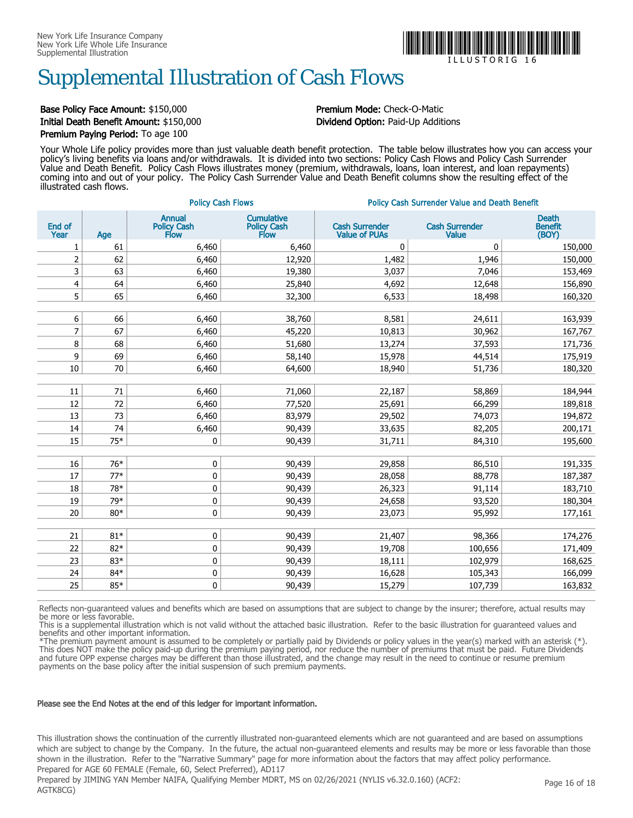

## Supplemental Illustration of Cash Flows

### Base Policy Face Amount: \$150,000 **Premium Mode:** Check-O-Matic Initial Death Benefit Amount: \$150,000 Dividend Option: Paid-Up Additions Premium Paying Period: To age 100

Your Whole Life policy provides more than just valuable death benefit protection. The table below illustrates how you can access your policy's living benefits via loans and/or withdrawals. It is divided into two sections: Policy Cash Flows and Policy Cash Surrender Value and Death Benefit. Policy Cash Flows illustrates money (premium, withdrawals, loans, loan interest, and loan repayments) coming into and out of your policy. The Policy Cash Surrender Value and Death Benefit columns show the resulting effect of the illustrated cash flows.

| <b>Annual</b><br><b>Cumulative</b><br><b>Death</b><br>End of<br><b>Cash Surrender</b><br><b>Cash Surrender</b><br>Policy Cash<br>Flow<br>Policy Cash<br>Flow<br><b>Benefit</b><br>Year<br>(BOY)<br><b>Value of PUAs</b><br>Value<br>Age<br>61<br>6,460<br>1<br>6,460<br>0<br>0<br>150,000<br>$\overline{2}$<br>62<br>6,460<br>12,920<br>1,482<br>150,000<br>1,946<br>3<br>63<br>6,460<br>19,380<br>3,037<br>7,046<br>153,469<br>$\overline{4}$<br>64<br>6,460<br>25,840<br>4,692<br>12,648<br>156,890<br>5<br>65<br>6,460<br>6,533<br>32,300<br>18,498<br>160,320<br>6<br>66<br>6,460<br>38,760<br>8,581<br>24,611<br>163,939<br>7<br>67<br>6,460<br>45,220<br>10,813<br>30,962<br>167,767<br>8<br>68<br>51,680<br>6,460<br>13,274<br>37,593<br>171,736<br>9<br>69<br>6,460<br>58,140<br>15,978<br>175,919<br>44,514<br>10<br>70<br>64,600<br>6,460<br>18,940<br>51,736<br>180,320<br>11<br>71<br>6,460<br>71,060<br>22,187<br>58,869<br>184,944<br>12<br>72<br>6,460<br>77,520<br>25,691<br>66,299<br>189,818<br>13<br>73<br>6,460<br>83,979<br>29,502<br>74,073<br>194,872<br>6,460<br>14<br>74<br>90,439<br>82,205<br>200,171<br>33,635<br>15<br>75*<br>0<br>90,439<br>31,711<br>84,310<br>195,600<br>16<br>76*<br>0<br>90,439<br>29,858<br>86,510<br>191,335<br>17<br>$77*$<br>0<br>90,439<br>28,058<br>88,778<br>187,387<br>0<br>18<br>78*<br>26,323<br>183,710<br>90,439<br>91,114<br>19<br>79*<br>0<br>90,439<br>24,658<br>93,520<br>180,304<br>20<br>$\pmb{0}$<br>$80*$<br>90,439<br>23,073<br>95,992<br>177,161<br>21<br>$81*$<br>0<br>90,439<br>21,407<br>98,366<br>174,276<br>$\pmb{0}$<br>22<br>$82*$<br>90,439<br>19,708<br>100,656<br>171,409<br>23<br>$\pmb{0}$<br>83*<br>90,439<br>18,111<br>102,979<br>168,625<br>24<br>84*<br>0<br>90,439<br>166,099<br>16,628<br>105,343<br>25<br>85*<br>0<br>90,439<br>163,832<br>15,279<br>107,739 |  | <b>Policy Cash Flows</b> | <b>Policy Cash Surrender Value and Death Benefit</b> |  |  |  |  |
|---------------------------------------------------------------------------------------------------------------------------------------------------------------------------------------------------------------------------------------------------------------------------------------------------------------------------------------------------------------------------------------------------------------------------------------------------------------------------------------------------------------------------------------------------------------------------------------------------------------------------------------------------------------------------------------------------------------------------------------------------------------------------------------------------------------------------------------------------------------------------------------------------------------------------------------------------------------------------------------------------------------------------------------------------------------------------------------------------------------------------------------------------------------------------------------------------------------------------------------------------------------------------------------------------------------------------------------------------------------------------------------------------------------------------------------------------------------------------------------------------------------------------------------------------------------------------------------------------------------------------------------------------------------------------------------------------------------------------------------------------------------------------------------------------------------------------------------------------------|--|--------------------------|------------------------------------------------------|--|--|--|--|
|                                                                                                                                                                                                                                                                                                                                                                                                                                                                                                                                                                                                                                                                                                                                                                                                                                                                                                                                                                                                                                                                                                                                                                                                                                                                                                                                                                                                                                                                                                                                                                                                                                                                                                                                                                                                                                                         |  |                          |                                                      |  |  |  |  |
|                                                                                                                                                                                                                                                                                                                                                                                                                                                                                                                                                                                                                                                                                                                                                                                                                                                                                                                                                                                                                                                                                                                                                                                                                                                                                                                                                                                                                                                                                                                                                                                                                                                                                                                                                                                                                                                         |  |                          |                                                      |  |  |  |  |
|                                                                                                                                                                                                                                                                                                                                                                                                                                                                                                                                                                                                                                                                                                                                                                                                                                                                                                                                                                                                                                                                                                                                                                                                                                                                                                                                                                                                                                                                                                                                                                                                                                                                                                                                                                                                                                                         |  |                          |                                                      |  |  |  |  |
|                                                                                                                                                                                                                                                                                                                                                                                                                                                                                                                                                                                                                                                                                                                                                                                                                                                                                                                                                                                                                                                                                                                                                                                                                                                                                                                                                                                                                                                                                                                                                                                                                                                                                                                                                                                                                                                         |  |                          |                                                      |  |  |  |  |
|                                                                                                                                                                                                                                                                                                                                                                                                                                                                                                                                                                                                                                                                                                                                                                                                                                                                                                                                                                                                                                                                                                                                                                                                                                                                                                                                                                                                                                                                                                                                                                                                                                                                                                                                                                                                                                                         |  |                          |                                                      |  |  |  |  |
|                                                                                                                                                                                                                                                                                                                                                                                                                                                                                                                                                                                                                                                                                                                                                                                                                                                                                                                                                                                                                                                                                                                                                                                                                                                                                                                                                                                                                                                                                                                                                                                                                                                                                                                                                                                                                                                         |  |                          |                                                      |  |  |  |  |
|                                                                                                                                                                                                                                                                                                                                                                                                                                                                                                                                                                                                                                                                                                                                                                                                                                                                                                                                                                                                                                                                                                                                                                                                                                                                                                                                                                                                                                                                                                                                                                                                                                                                                                                                                                                                                                                         |  |                          |                                                      |  |  |  |  |
|                                                                                                                                                                                                                                                                                                                                                                                                                                                                                                                                                                                                                                                                                                                                                                                                                                                                                                                                                                                                                                                                                                                                                                                                                                                                                                                                                                                                                                                                                                                                                                                                                                                                                                                                                                                                                                                         |  |                          |                                                      |  |  |  |  |
|                                                                                                                                                                                                                                                                                                                                                                                                                                                                                                                                                                                                                                                                                                                                                                                                                                                                                                                                                                                                                                                                                                                                                                                                                                                                                                                                                                                                                                                                                                                                                                                                                                                                                                                                                                                                                                                         |  |                          |                                                      |  |  |  |  |
|                                                                                                                                                                                                                                                                                                                                                                                                                                                                                                                                                                                                                                                                                                                                                                                                                                                                                                                                                                                                                                                                                                                                                                                                                                                                                                                                                                                                                                                                                                                                                                                                                                                                                                                                                                                                                                                         |  |                          |                                                      |  |  |  |  |
|                                                                                                                                                                                                                                                                                                                                                                                                                                                                                                                                                                                                                                                                                                                                                                                                                                                                                                                                                                                                                                                                                                                                                                                                                                                                                                                                                                                                                                                                                                                                                                                                                                                                                                                                                                                                                                                         |  |                          |                                                      |  |  |  |  |
|                                                                                                                                                                                                                                                                                                                                                                                                                                                                                                                                                                                                                                                                                                                                                                                                                                                                                                                                                                                                                                                                                                                                                                                                                                                                                                                                                                                                                                                                                                                                                                                                                                                                                                                                                                                                                                                         |  |                          |                                                      |  |  |  |  |
|                                                                                                                                                                                                                                                                                                                                                                                                                                                                                                                                                                                                                                                                                                                                                                                                                                                                                                                                                                                                                                                                                                                                                                                                                                                                                                                                                                                                                                                                                                                                                                                                                                                                                                                                                                                                                                                         |  |                          |                                                      |  |  |  |  |
|                                                                                                                                                                                                                                                                                                                                                                                                                                                                                                                                                                                                                                                                                                                                                                                                                                                                                                                                                                                                                                                                                                                                                                                                                                                                                                                                                                                                                                                                                                                                                                                                                                                                                                                                                                                                                                                         |  |                          |                                                      |  |  |  |  |
|                                                                                                                                                                                                                                                                                                                                                                                                                                                                                                                                                                                                                                                                                                                                                                                                                                                                                                                                                                                                                                                                                                                                                                                                                                                                                                                                                                                                                                                                                                                                                                                                                                                                                                                                                                                                                                                         |  |                          |                                                      |  |  |  |  |
|                                                                                                                                                                                                                                                                                                                                                                                                                                                                                                                                                                                                                                                                                                                                                                                                                                                                                                                                                                                                                                                                                                                                                                                                                                                                                                                                                                                                                                                                                                                                                                                                                                                                                                                                                                                                                                                         |  |                          |                                                      |  |  |  |  |
|                                                                                                                                                                                                                                                                                                                                                                                                                                                                                                                                                                                                                                                                                                                                                                                                                                                                                                                                                                                                                                                                                                                                                                                                                                                                                                                                                                                                                                                                                                                                                                                                                                                                                                                                                                                                                                                         |  |                          |                                                      |  |  |  |  |
|                                                                                                                                                                                                                                                                                                                                                                                                                                                                                                                                                                                                                                                                                                                                                                                                                                                                                                                                                                                                                                                                                                                                                                                                                                                                                                                                                                                                                                                                                                                                                                                                                                                                                                                                                                                                                                                         |  |                          |                                                      |  |  |  |  |
|                                                                                                                                                                                                                                                                                                                                                                                                                                                                                                                                                                                                                                                                                                                                                                                                                                                                                                                                                                                                                                                                                                                                                                                                                                                                                                                                                                                                                                                                                                                                                                                                                                                                                                                                                                                                                                                         |  |                          |                                                      |  |  |  |  |
|                                                                                                                                                                                                                                                                                                                                                                                                                                                                                                                                                                                                                                                                                                                                                                                                                                                                                                                                                                                                                                                                                                                                                                                                                                                                                                                                                                                                                                                                                                                                                                                                                                                                                                                                                                                                                                                         |  |                          |                                                      |  |  |  |  |
|                                                                                                                                                                                                                                                                                                                                                                                                                                                                                                                                                                                                                                                                                                                                                                                                                                                                                                                                                                                                                                                                                                                                                                                                                                                                                                                                                                                                                                                                                                                                                                                                                                                                                                                                                                                                                                                         |  |                          |                                                      |  |  |  |  |
|                                                                                                                                                                                                                                                                                                                                                                                                                                                                                                                                                                                                                                                                                                                                                                                                                                                                                                                                                                                                                                                                                                                                                                                                                                                                                                                                                                                                                                                                                                                                                                                                                                                                                                                                                                                                                                                         |  |                          |                                                      |  |  |  |  |
|                                                                                                                                                                                                                                                                                                                                                                                                                                                                                                                                                                                                                                                                                                                                                                                                                                                                                                                                                                                                                                                                                                                                                                                                                                                                                                                                                                                                                                                                                                                                                                                                                                                                                                                                                                                                                                                         |  |                          |                                                      |  |  |  |  |
|                                                                                                                                                                                                                                                                                                                                                                                                                                                                                                                                                                                                                                                                                                                                                                                                                                                                                                                                                                                                                                                                                                                                                                                                                                                                                                                                                                                                                                                                                                                                                                                                                                                                                                                                                                                                                                                         |  |                          |                                                      |  |  |  |  |
|                                                                                                                                                                                                                                                                                                                                                                                                                                                                                                                                                                                                                                                                                                                                                                                                                                                                                                                                                                                                                                                                                                                                                                                                                                                                                                                                                                                                                                                                                                                                                                                                                                                                                                                                                                                                                                                         |  |                          |                                                      |  |  |  |  |
|                                                                                                                                                                                                                                                                                                                                                                                                                                                                                                                                                                                                                                                                                                                                                                                                                                                                                                                                                                                                                                                                                                                                                                                                                                                                                                                                                                                                                                                                                                                                                                                                                                                                                                                                                                                                                                                         |  |                          |                                                      |  |  |  |  |
|                                                                                                                                                                                                                                                                                                                                                                                                                                                                                                                                                                                                                                                                                                                                                                                                                                                                                                                                                                                                                                                                                                                                                                                                                                                                                                                                                                                                                                                                                                                                                                                                                                                                                                                                                                                                                                                         |  |                          |                                                      |  |  |  |  |
|                                                                                                                                                                                                                                                                                                                                                                                                                                                                                                                                                                                                                                                                                                                                                                                                                                                                                                                                                                                                                                                                                                                                                                                                                                                                                                                                                                                                                                                                                                                                                                                                                                                                                                                                                                                                                                                         |  |                          |                                                      |  |  |  |  |
|                                                                                                                                                                                                                                                                                                                                                                                                                                                                                                                                                                                                                                                                                                                                                                                                                                                                                                                                                                                                                                                                                                                                                                                                                                                                                                                                                                                                                                                                                                                                                                                                                                                                                                                                                                                                                                                         |  |                          |                                                      |  |  |  |  |

Reflects non-guaranteed values and benefits which are based on assumptions that are subject to change by the insurer; therefore, actual results may be more or less favorable.

This is a supplemental illustration which is not valid without the attached basic illustration. Refer to the basic illustration for guaranteed values and benefits and other important information.

\*The premium payment amount is assumed to be completely or partially paid by Dividends or policy values in the year(s) marked with an asterisk (\*). This does NOT make the policy paid-up during the premium paying period, nor reduce the number of premiums that must be paid. Future Dividends and future OPP expense charges may be different than those illustrated, and the change may result in the need to continue or resume premium payments on the base policy after the initial suspension of such premium payments.

#### Please see the End Notes at the end of this ledger for important information.

This illustration shows the continuation of the currently illustrated non-guaranteed elements which are not guaranteed and are based on assumptions which are subject to change by the Company. In the future, the actual non-guaranteed elements and results may be more or less favorable than those shown in the illustration. Refer to the "Narrative Summary" page for more information about the factors that may affect policy performance. Prepared for AGE 60 FEMALE (Female, 60, Select Preferred), AD117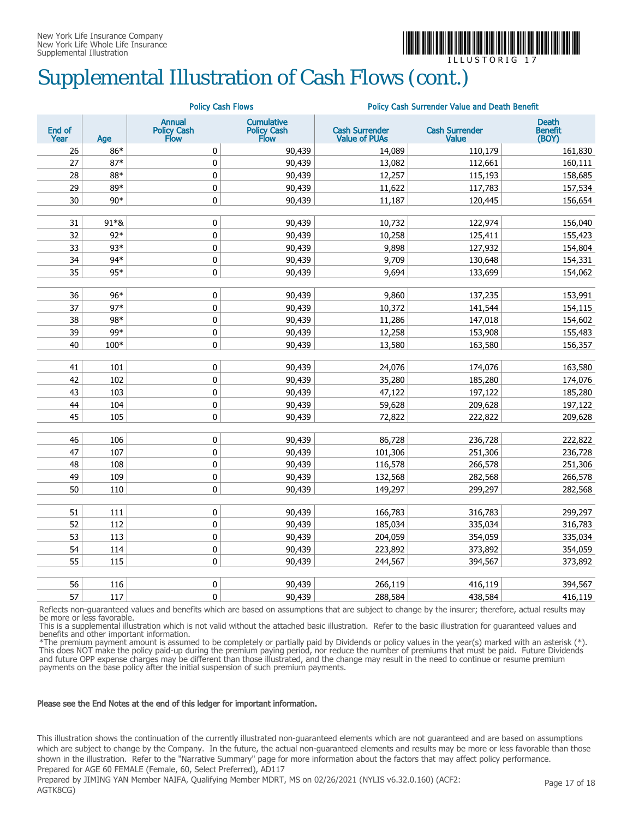

ILLUSTORIG 17

## Supplemental Illustration of Cash Flows (cont.)

|                |       |                                      | <b>Policy Cash Flows</b>                 | Policy Cash Surrender Value and Death Benefit |                                |                                         |  |  |
|----------------|-------|--------------------------------------|------------------------------------------|-----------------------------------------------|--------------------------------|-----------------------------------------|--|--|
| End of<br>Year | Age   | <b>Annual</b><br>Policy Cash<br>Flow | <b>Cumulative</b><br>Policy Cash<br>Flow | <b>Cash Surrender</b><br><b>Value of PUAs</b> | <b>Cash Surrender</b><br>Value | <b>Death</b><br><b>Benefit</b><br>(BOY) |  |  |
| 26             | 86*   | 0                                    | 90,439                                   | 14,089                                        | 110,179                        | 161,830                                 |  |  |
| 27             | $87*$ | $\pmb{0}$                            | 90,439                                   | 13,082                                        | 112,661                        | 160,111                                 |  |  |
| 28             | 88*   | $\pmb{0}$                            | 90,439                                   | 12,257                                        | 115,193                        | 158,685                                 |  |  |
| 29             | 89*   | 0                                    | 90,439                                   | 11,622                                        | 117,783                        | 157,534                                 |  |  |
| 30             | $90*$ | 0                                    | 90,439                                   | 11,187                                        | 120,445                        | 156,654                                 |  |  |
|                |       |                                      |                                          |                                               |                                |                                         |  |  |
| 31             | 91*&  | $\pmb{0}$                            | 90,439                                   | 10,732                                        | 122,974                        | 156,040                                 |  |  |
| 32             | $92*$ | $\pmb{0}$                            | 90,439                                   | 10,258                                        | 125,411                        | 155,423                                 |  |  |
| 33             | 93*   | $\pmb{0}$                            | 90,439                                   | 9,898                                         | 127,932                        | 154,804                                 |  |  |
| 34             | 94*   | $\pmb{0}$                            | 90,439                                   | 9,709                                         | 130,648                        | 154,331                                 |  |  |
| 35             | 95*   | 0                                    | 90,439                                   | 9,694                                         | 133,699                        | 154,062                                 |  |  |
| 36             | 96*   | $\pmb{0}$                            | 90,439                                   | 9,860                                         | 137,235                        | 153,991                                 |  |  |
| 37             | $97*$ | 0                                    | 90,439                                   | 10,372                                        | 141,544                        | 154,115                                 |  |  |
| 38             | 98*   | $\pmb{0}$                            | 90,439                                   | 11,286                                        | 147,018                        | 154,602                                 |  |  |
| 39             | 99*   | $\pmb{0}$                            | 90,439                                   | 12,258                                        | 153,908                        | 155,483                                 |  |  |
| 40             | 100*  | 0                                    | 90,439                                   | 13,580                                        | 163,580                        | 156,357                                 |  |  |
|                |       |                                      |                                          |                                               |                                |                                         |  |  |
| 41             | 101   | $\pmb{0}$                            | 90,439                                   | 24,076                                        | 174,076                        | 163,580                                 |  |  |
| 42             | 102   | 0                                    | 90,439                                   | 35,280                                        | 185,280                        | 174,076                                 |  |  |
| 43             | 103   | $\pmb{0}$                            | 90,439                                   | 47,122                                        | 197,122                        | 185,280                                 |  |  |
| 44             | 104   | $\pmb{0}$                            | 90,439                                   | 59,628                                        | 209,628                        | 197,122                                 |  |  |
| 45             | 105   | 0                                    | 90,439                                   | 72,822                                        | 222,822                        | 209,628                                 |  |  |
| 46             | 106   | 0                                    | 90,439                                   | 86,728                                        | 236,728                        | 222,822                                 |  |  |
| 47             | 107   | $\pmb{0}$                            | 90,439                                   | 101,306                                       | 251,306                        | 236,728                                 |  |  |
| 48             | 108   | $\pmb{0}$                            | 90,439                                   | 116,578                                       | 266,578                        | 251,306                                 |  |  |
| 49             | 109   | 0                                    | 90,439                                   | 132,568                                       | 282,568                        | 266,578                                 |  |  |
| 50             | 110   | $\pmb{0}$                            | 90,439                                   | 149,297                                       | 299,297                        | 282,568                                 |  |  |
|                |       |                                      |                                          |                                               |                                |                                         |  |  |
| 51             | 111   | $\pmb{0}$                            | 90,439                                   | 166,783                                       | 316,783                        | 299,297                                 |  |  |
| 52             | 112   | $\pmb{0}$                            | 90,439                                   | 185,034                                       | 335,034                        | 316,783                                 |  |  |
| 53             | 113   | $\pmb{0}$                            | 90,439                                   | 204,059                                       | 354,059                        | 335,034                                 |  |  |
| 54             | 114   | $\pmb{0}$                            | 90,439                                   | 223,892                                       | 373,892                        | 354,059                                 |  |  |
| 55             | 115   | $\pmb{0}$                            | 90,439                                   | 244,567                                       | 394,567                        | 373,892                                 |  |  |
|                |       |                                      |                                          |                                               |                                |                                         |  |  |
| 56             | 116   | $\pmb{0}$                            | 90,439                                   | 266,119                                       | 416,119                        | 394,567                                 |  |  |
| 57             | 117   | 0                                    | 90,439                                   | 288,584                                       | 438,584                        | 416,119                                 |  |  |

Reflects non-guaranteed values and benefits which are based on assumptions that are subject to change by the insurer; therefore, actual results may be more or less favorable.

This is a supplemental illustration which is not valid without the attached basic illustration. Refer to the basic illustration for guaranteed values and benefits and other important information.

\*The premium payment amount is assumed to be completely or partially paid by Dividends or policy values in the year(s) marked with an asterisk (\*). This does NOT make the policy paid-up during the premium paying period, nor reduce the number of premiums that must be paid. Future Dividends and future OPP expense charges may be different than those illustrated, and the change may result in the need to continue or resume premium payments on the base policy after the initial suspension of such premium payments.

#### Please see the End Notes at the end of this ledger for important information.

This illustration shows the continuation of the currently illustrated non-guaranteed elements which are not guaranteed and are based on assumptions which are subject to change by the Company. In the future, the actual non-guaranteed elements and results may be more or less favorable than those shown in the illustration. Refer to the "Narrative Summary" page for more information about the factors that may affect policy performance. Prepared for AGE 60 FEMALE (Female, 60, Select Preferred), AD117